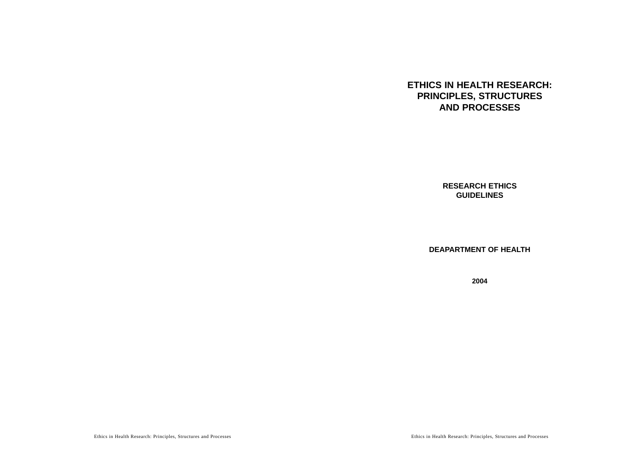# **ETHICS IN HEALTH RESEARCH: PRINCIPLES, STRUCTURES AND PROCESSES**

**RESEARCH ETHICS GUIDELINES**

**DEAPARTMENT OF HEALTH**

**2004**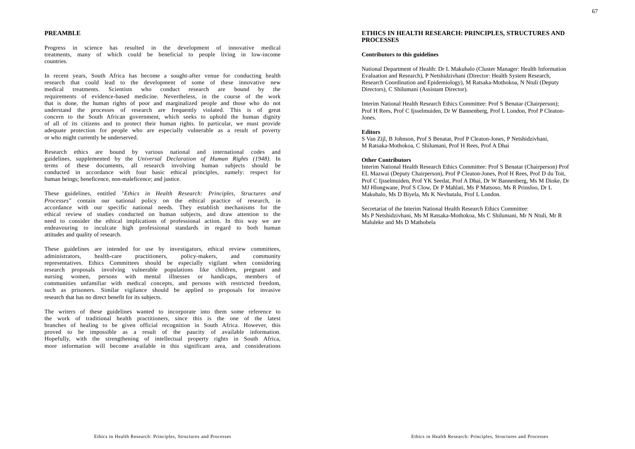### **PREAMBLE**

Progress in science has resulted in the development of innovative medical treatments, many of which could be beneficial to people living in low-income countries.

In recent years, South Africa has become a sought-after venue for conducting health research that could lead to the development of some of these innovative new medical treatments. Scientists who conduct research are bound by the requirements of evidence-based medicine. Nevertheless, in the course of the work that is done, the human rights of poor and marginalized people and those who do not understand the processes of research are frequently violated. This is of great concern to the South African government, which seeks to uphold the human dignity of all of its citizens and to protect their human rights. In particular, we must provide adequate protection for people who are especially vulnerable as a result of poverty or who might currently be underserved.

Research ethics are bound by various national and international codes and guidelines, supplemented by the *Universal Declaration of Human Rights* (1948). In terms of these documents, all research involving human subjects should be conducted in accordance with four basic ethical principles, namely: respect for human beings; beneficence, non-maleficence; and justice.

These guidelines, entitled *"Ethics in Health Research: Principles, Structures and Processes"* contain our national policy on the ethical practice of research, in accordance with our specific national needs. They establish mechanisms for the ethical review of studies conducted on human subjects, and draw attention to the need to consider the ethical implications of professional action. In this way we are endeavouring to inculcate high professional standards in regard to both human attitudes and quality of research.

These guidelines are intended for use by investigators, ethical review committees, administrators, health-care practitioners, policy-makers, and community representatives. Ethics Committees should be especially vigilant when considering research proposals involving vulnerable populations like children, pregnant and nursing women, persons with mental illnesses or handicaps, members of communities unfamiliar with medical concepts, and persons with restricted freedom, such as prisoners. Similar vigilance should be applied to proposals for invasive research that has no direct benefit for its subjects.

The writers of these guidelines wanted to incorporate into them some reference to the work of traditional health practitioners, since this is the one of the latest branches of healing to be given official recognition in South Africa. However, this proved to be impossible as a result of the paucity of available information. Hopefully, with the strengthening of intellectual property rights in South Africa, more information will become available in this significant area, and considerations

# **ETHICS IN HEALTH RESEARCH: PRINCIPLES, STRUCTURES AND PROCESSES**

# **Contributors to this guidelines**

National Department of Health: Dr L Makubalo (Cluster Manager: Health Information Evaluation and Research), P Netshidzivhani (Director: Health System Research, Research Coordination and Epidemiology), M Ratsaka-Mothokoa, N Ntuli (Deputy Directors), C Shilumani (Assistant Director).

Interim National Health Research Ethics Committee: Prof S Benatar (Chairperson); Prof H Rees, Prof C Ijsselmuiden, Dr W Bannenberg, Prof L London, Prof P Cleaton-Jones.

#### **Editors**

S Van Zijl, B Johnson, Prof S Benatar, Prof P Cleaton-Jones, P Netshidzivhani, M Ratsaka-Mothokoa, C Shilumani, Prof H Rees, Prof A Dhai

#### **Other Contributors**

Interim National Health Research Ethics Committee: Prof S Benatar (Chairperson) Prof EL Mazwai (Deputy Chairperson), Prof P Cleaton-Jones, Prof H Rees, Prof D du Toit, Prof C Ijsselmuiden, Prof YK Seedat, Prof A Dhai, Dr W Bannenberg, Ms M Dioke, Dr MJ Hlongwane, Prof S Clow, Dr P Mahlati, Ms P Matsoso, Ms R Prinsloo, Dr L Makubalo, Ms D Biyela, Ms K Nevhutalu, Prof L London.

Secretariat of the Interim National Health Research Ethics Committee:Ms P Netshidzivhani, Ms M Ratsaka-Mothokoa, Ms C Shilumani, Mr N Ntuli, Mr R Maluleke and Ms D Mathobela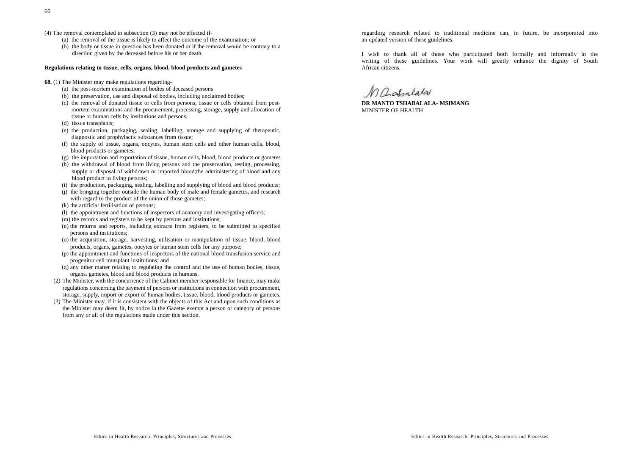- (4) The removal contemplated in subsection (3) may not be effected if-
	- (a) the removal of the tissue is likely to affect the outcome of the examination; or
	- (b) the body or tissue in question has been donated or if the removal would be contrary to a direction given by the deceased before his or her death.

#### **Regulations relating to tissue, cells, organs, blood, blood products and gametes**

- **68.** (1) The Minister may make regulations regarding-
	- (a) the post-mortem examination of bodies of deceased persons
	- (b) the preservation, use and disposal of bodies, including unclaimed bodies;
	- (c) the removal of donated tissue or cells from persons, tissue or cells obtained from postmortem examinations and the procurement, processing, storage, supply and allocation of tissue or human cells by institutions and persons;
	- (d) tissue transplants:
	- (e) the production, packaging, sealing, labelling, storage and supplying of therapeutic, diagnostic and prophylactic substances from tissue;
	- (f) the supply of tissue, organs, oocytes, human stem cells and other human cells, blood, blood products or gametes;
	- (g) the importation and exportation of tissue, human cells, blood, blood products or gametes
	- (h) the withdrawal of blood from living persons and the preservation, testing, processing, supply or disposal of withdrawn or imported blood; the administering of blood and any blood product to living persons;
	- (i) the production, packaging, sealing, labelling and supplying of blood and blood products;
	- (j) the bringing together outside the human body of male and female gametes, and research with regard to the product of the union of those gametes;
	- (k) the artificial fertilisation of persons;
	- (l) the appointment and functions of inspectors of anatomy and investigating officers;
	- (m) the records and registers to be kept by persons and institutions;
	- (n) the returns and reports, including extracts from registers, to be submitted to specified persons and institutions;
	- (o) the acquisition, storage, harvesting, utilisation or manipulation of tissue, blood, blood products, organs, gametes, oocytes or human stem cells for any purpose;
	- (p) the appointment and functions of inspectors of the national blood transfusion service and progenitor cell transplant institutions; and
	- (q) any other matter relating to regulating the control and the use of human bodies, tissue, organs, gametes, blood and blood products in humans.
	- (2) The Minister, with the concurrence of the Cabinet member responsible for finance, may make regulations concerning the payment of persons or institutions in connection with procurement, storage, supply, import or export of human bodies, tissue, blood, blood products or gametes.
	- (3) The Minister may, if it is consistent with the objects of this Act and upon such conditions as the Minister may deem fit, by notice in the Gazette exempt a person or category of persons from any or all of the regulations made under this section.

regarding research related to traditional medicine can, in future, be incorporated into an updated version of these guidelines.

I wish to thank all of those who participated both formally and informally in the writing of these guidelines. Your work will greatly enhance the dignity of South African citizens.

Maghalata

**DR MANTO TSHABALALA- MSIMANG**MINISTER OF HEALTH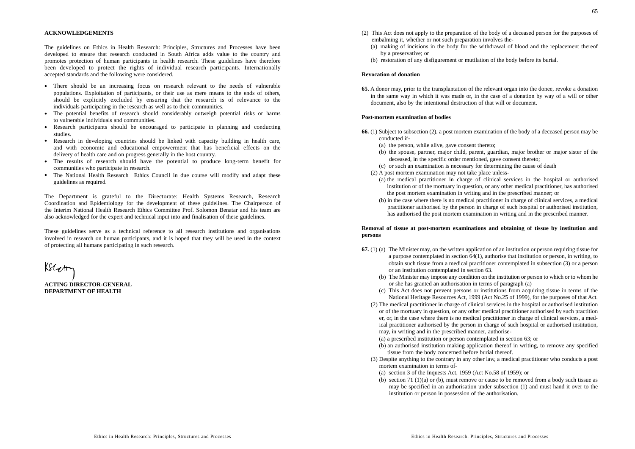#### **ACKNOWLEDGEMENTS**

The guidelines on Ethics in Health Research: Principles, Structures and Processes have been developed to ensure that research conducted in South Africa adds value to the country and promotes protection of human participants in health research. These guidelines have therefore been developed to protect the rights of individual research participants. Internationally accepted standards and the following were considered.

- There should be an increasing focus on research relevant to the needs of vulnerable populations. Exploitation of participants, or their use as mere means to the ends of others, should be explicitly excluded by ensuring that the research is of relevance to the individuals participating in the research as well as to their communities.
- The potential benefits of research should considerably outweigh potential risks or harms to vulnerable individuals and communities.
- Research participants should be encouraged to participate in planning and conducting studies.
- Research in developing countries should be linked with capacity building in health care, and with economic and educational empowerment that has beneficial effects on the delivery of health care and on progress generally in the host country.
- The results of research should have the potential to produce long-term benefit for communities who participate in research.
- The National Health Research Ethics Council in due course will modify and adapt these guidelines as required.

The Department is grateful to the Directorate: Health Systems Research, Research Coordination and Epidemiology for the development of these guidelines. The Chairperson of the Interim National Health Research Ethics Committee Prof. Solomon Benatar and his team are also acknowledged for the expert and technical input into and finalisation of these guidelines.

These guidelines serve as a technical reference to all research institutions and organisations involved in research on human participants, and it is hoped that they will be used in the context of protecting all humans participating in such research.

 $\kappa$ 

**ACTING DIRECTOR-GENERALDEPARTMENT OF HEALTH**

- (2) This Act does not apply to the preparation of the body of a deceased person for the purposes of embalming it, whether or not such preparation involves the-
	- (a) making of incisions in the body for the withdrawal of blood and the replacement thereof by a preservative; or
	- (b) restoration of any disfigurement or mutilation of the body before its burial.

#### **Revocation of donation**

**65.** A donor may, prior to the transplantation of the relevant organ into the donee, revoke a donation in the same way in which it was made or, in the case of a donation by way of a will or other document, also by the intentional destruction of that will or document.

#### **Post-mortem examination of bodies**

- **66.** (1) Subject to subsection (2), a post mortem examination of the body of a deceased person may be conducted if-
	- (a) the person, while alive, gave consent thereto;
	- (b) the spouse, partner, major child, parent, guardian, major brother or major sister of the deceased, in the specific order mentioned, gave consent thereto;
	- (c) or such an examination is necessary for determining the cause of death
	- (2) A post mortem examination may not take place unless-
		- (a) the medical practitioner in charge of clinical services in the hospital or authorised institution or of the mortuary in question, or any other medical practitioner, has authorised the post mortem examination in writing and in the prescribed manner; or
		- (b) in the case where there is no medical practitioner in charge of clinical services, a medical practitioner authorised by the person in charge of such hospital or authorised institution, has authorised the post mortem examination in writing and in the prescribed manner.

### **Removal of tissue at post-mortem examinations and obtaining of tissue by institution and persons**

- **67.** (1) (a) The Minister may, on the written application of an institution or person requiring tissue for a purpose contemplated in section 64(1), authorise that institution or person, in writing, to obtain such tissue from a medical practitioner contemplated in subsection (3) or a person or an institution contemplated in section 63.
	- (b) The Minister may impose any condition on the institution or person to which or to whom he or she has granted an authorisation in terms of paragraph (a)
	- (c) This Act does not prevent persons or institutions from acquiring tissue in terms of the National Heritage Resources Act, 1999 (Act No.25 of 1999), for the purposes of that Act.
	- (2) The medical practitioner in charge of clinical services in the hospital or authorised institution or of the mortuary in question, or any other medical practitioner authorised by such practition er, or, in the case where there is no medical practitioner in charge of clinical services, a medical practitioner authorised by the person in charge of such hospital or authorised institution, may, in writing and in the prescribed manner, authorise-
		- (a) a prescribed institution or person contemplated in section 63; or
		- (b) an authorised institution making application thereof in writing, to remove any specified tissue from the body concerned before burial thereof.
	- (3) Despite anything to the contrary in any other law, a medical practitioner who conducts a post mortem examination in terms of-
		- (a) section 3 of the Inquests Act, 1959 (Act No.58 of 1959); or
		- (b) section 71 (1)(a) or (b), must remove or cause to be removed from a body such tissue as may be specified in an authorisation under subsection (1) and must hand it over to the institution or person in possession of the authorisation.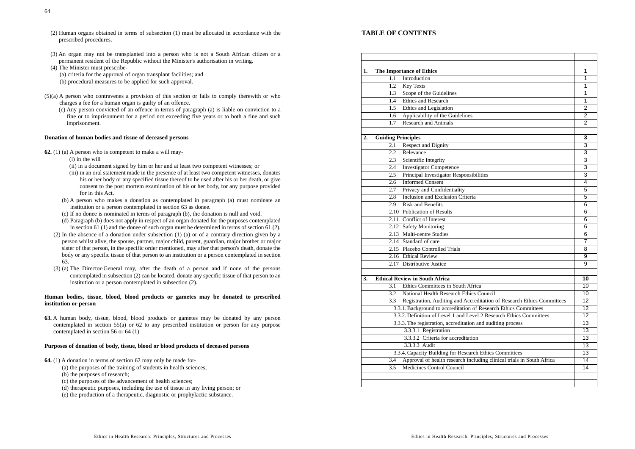- (2) Human organs obtained in terms of subsection (1) must be allocated in accordance with the prescribed procedures.
- (3) An organ may not be transplanted into a person who is not a South African citizen or a permanent resident of the Republic without the Minister's authorisation in writing.

(4) The Minister must prescribe-

(a) criteria for the approval of organ transplant facilities; and (b) procedural measures to be applied for such approval.

- (5)(a) A person who contravenes a provision of this section or fails to comply therewith or who charges a fee for a human organ is guilty of an offence.
	- (c) Any person convicted of an offence in terms of paragraph (a) is liable on conviction to a fine or to imprisonment for a period not exceeding five years or to both a fine and such imprisonment.

#### **Donation of human bodies and tissue of deceased persons**

- **62.** (1) (a) A person who is competent to make a will may-
	- (i) in the will
	- (ii) in a document signed by him or her and at least two competent witnesses; or
	- (iii) in an oral statement made in the presence of at least two competent witnesses, donates his or her body or any specified tissue thereof to be used after his or her death, or give consent to the post mortem examination of his or her body, for any purpose provided for in this Act.
	- (b) A person who makes a donation as contemplated in paragraph (a) must nominate an institution or a person contemplated in section 63 as donee.
	- (c) If no donee is nominated in terms of paragraph (b), the donation is null and void.
	- (d) Paragraph (b) does not apply in respect of an organ donated for the purposes contemplated in section 61 (1) and the donee of such organ must be determined in terms of section 61 (2).
	- (2) In the absence of a donation under subsection (1) (a) or of a contrary direction given by a person whilst alive, the spouse, partner, major child, parent, guardian, major brother or major sister of that person, in the specific order mentioned, may after that person's death, donate the body or any specific tissue of that person to an institution or a person contemplated in section 63.
	- (3) (a) The Director-General may, after the death of a person and if none of the persons contemplated in subsection (2) can be located, donate any specific tissue of that person to an institution or a person contemplated in subsection (2).

# **Human bodies, tissue, blood, blood products or gametes may be donated to prescribed institution or person**

**63.** A human body, tissue, blood, blood products or gametes may be donated by any person contemplated in section 55(a) or 62 to any prescribed institution or person for any purpose contemplated in section 56 or 64 (1)

# **Purposes of donation of body, tissue, blood or blood products of deceased persons**

- **64.** (1) A donation in terms of section 62 may only be made for-
	- (a) the purposes of the training of students in health sciences;
	- (b) the purposes of research;
	- (c) the purposes of the advancement of health sciences;
	- (d) therapeutic purposes, including the use of tissue in any living person; or
	- (e) the production of a therapeutic, diagnostic or prophylactic substance.

# **TABLE OF CONTENTS**

| 1.               | <b>The Importance of Ethics</b>                             |                                                                        | 1                         |
|------------------|-------------------------------------------------------------|------------------------------------------------------------------------|---------------------------|
|                  | 1.1                                                         | Introduction                                                           | 1                         |
|                  | 1.2                                                         | Key Texts                                                              | 1                         |
|                  | 1.3                                                         | Scope of the Guidelines                                                | 1                         |
|                  | 1.4                                                         | <b>Ethics and Research</b>                                             | 1                         |
|                  | 1.5                                                         | Ethics and Legislation                                                 | $\overline{2}$            |
|                  | 1.6                                                         | Applicability of the Guidelines                                        | $\overline{2}$            |
|                  | 1.7                                                         | <b>Research and Animals</b>                                            | $\overline{2}$            |
| $\overline{2}$ . | <b>Guiding Principles</b>                                   |                                                                        | 3                         |
|                  | 2.1                                                         | <b>Respect and Dignity</b>                                             | $\overline{3}$            |
|                  | 2.2                                                         | Relevance                                                              | 3                         |
|                  | 2.3                                                         | Scientific Integrity                                                   | $\overline{\overline{3}}$ |
|                  | 2.4                                                         | <b>Investigator Competence</b>                                         | 3                         |
|                  | 2.5                                                         | Principal Investigator Responsibilities                                | 3                         |
|                  | $2.6\,$                                                     | <b>Informed Consent</b>                                                | $\overline{4}$            |
|                  | 2.7                                                         | Privacy and Confidentiality                                            | 5                         |
|                  | 2.8                                                         | Inclusion and Exclusion Criteria                                       | 5                         |
|                  | 2.9                                                         | <b>Risk and Benefits</b>                                               | 6                         |
|                  |                                                             | 2.10 Publication of Results                                            | 6                         |
|                  |                                                             | 2.11 Conflict of Interest                                              | 6                         |
|                  |                                                             | 2.12 Safety Monitoring                                                 | 6                         |
|                  |                                                             | 2.13 Multi-centre Studies                                              | 6                         |
|                  |                                                             | 2.14 Standard of care                                                  | $\overline{7}$            |
|                  |                                                             | 2.15 Placebo Controlled Trials                                         | 8                         |
|                  |                                                             | 2.16 Ethical Review                                                    | $\overline{9}$            |
|                  |                                                             | 2.17 Distributive Justice                                              | 9                         |
| 3.               | <b>Ethical Review in South Africa</b>                       |                                                                        |                           |
|                  | 3.1                                                         | Ethics Committees in South Africa                                      | 10                        |
|                  | 3.2                                                         | National Health Research Ethics Council                                | 10                        |
|                  | 3.3                                                         | Registration, Auditing and Accreditation of Research Ethics Committees | 12                        |
|                  |                                                             | 3.3.1. Background to accreditation of Research Ethics Committees       | 12                        |
|                  |                                                             | 3.3.2. Definition of Level 1 and Level 2 Research Ethics Committees    | 12                        |
|                  | 3.3.3. The registration, accreditation and auditing process |                                                                        | 13                        |
|                  |                                                             | 3.3.3.1 Registration                                                   | 13                        |
|                  |                                                             | 3.3.3.2 Criteria for accreditation                                     | 13                        |
|                  |                                                             | 3.3.3.3 Audit                                                          | 13                        |
|                  | 3.3.4. Capacity Building for Research Ethics Committees     |                                                                        | 13                        |
|                  | 3.4                                                         | Approval of health research including clinical trials in South Africa  | 14                        |
|                  | 3.5                                                         | Medicines Control Council                                              | 14                        |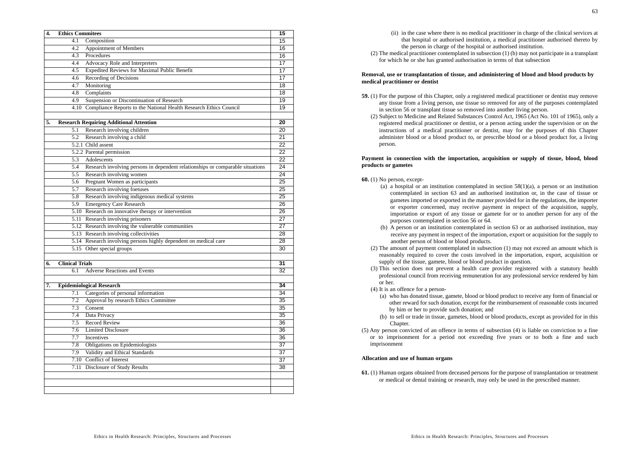| 4. | <b>Ethics Commitees</b>         |                                                                                    | 15              |
|----|---------------------------------|------------------------------------------------------------------------------------|-----------------|
|    | 4.1                             | Composition                                                                        | 15              |
|    | 4.2                             | Appointment of Members                                                             | 16              |
|    | 4.3                             | Procedures                                                                         | 16              |
|    | 4.4                             | Advocacy Role and Interpreters                                                     | 17              |
|    | 4.5                             | Expedited Reviews for Maximal Public Benefit                                       | 17              |
|    | 4.6                             | Recording of Decisions                                                             | 17              |
|    | 4.7                             | Monitoring                                                                         | 18              |
|    | 4.8                             | Complaints                                                                         | 18              |
|    | 4.9                             | Suspension or Discontinuation of Research                                          | 19              |
|    |                                 | 4.10 Compliance Reports to the National Health Research Ethics Council             | 19              |
| 5. |                                 | <b>Research Requiring Additional Attention</b>                                     | 20              |
|    | 5.1                             | Research involving children                                                        | 20              |
|    | 5.2                             | Research involving a child                                                         | 21              |
|    |                                 | $\overline{5.2.1}$ Child assent                                                    | 22              |
|    |                                 | 5.2.2 Parental permission                                                          | 22              |
|    |                                 | 5.3 Adolescents                                                                    | 22              |
|    |                                 | 5.4 Research involving persons in dependent relationships or comparable situations | $\overline{24}$ |
|    |                                 | 5.5 Research involving women                                                       | $\overline{24}$ |
|    |                                 | 5.6 Pregnant Women as participants                                                 | 25              |
|    |                                 | 5.7 Research involving foetuses                                                    | 25              |
|    |                                 | 5.8 Research involving indigenous medical systems                                  | 25              |
|    |                                 | 5.9 Emergency Care Research                                                        | 26              |
|    |                                 | 5.10 Research on innovative therapy or intervention                                | $\overline{26}$ |
|    |                                 | 5.11 Research involving prisoners                                                  | 27              |
|    |                                 | 5.12 Research involving the vulnerable communities                                 | 27              |
|    |                                 | 5.13 Research involving collectivities                                             | 28              |
|    |                                 | 5.14 Research involving persons highly dependent on medical care                   | 28              |
|    |                                 | 5.15 Other special groups                                                          | 30              |
|    |                                 |                                                                                    |                 |
| 6. | <b>Clinical Trials</b>          |                                                                                    | 31              |
|    | 6.1                             | <b>Adverse Reactions and Events</b>                                                | 32              |
| 7. | <b>Epidemiological Research</b> |                                                                                    | 34              |
|    | 7.1                             | Categories of personal information                                                 | 34              |
|    | 7.2                             | Approval by research Ethics Committee                                              | 35              |
|    | 7.3                             | Consent                                                                            | 35              |
|    | 7.4                             | Data Privacy                                                                       | 35              |
|    | 7.5                             | <b>Record Review</b>                                                               | 36              |
|    | 7.6                             | <b>Limited Disclosure</b>                                                          | 36              |
|    | 7.7                             | Incentives                                                                         | 36              |
|    |                                 | 7.8 Obligations on Epidemiologists                                                 | 37              |
|    |                                 | 7.9 Validity and Ethical Standards                                                 | 37              |
|    |                                 | 7.10 Conflict of Interest                                                          | 37              |
|    |                                 | 7.11 Disclosure of Study Results                                                   | 38              |
|    |                                 |                                                                                    |                 |
|    |                                 |                                                                                    |                 |
|    |                                 |                                                                                    |                 |

- (ii) in the case where there is no medical practitioner in charge of the clinical services at that hospital or authorised institution, a medical practitioner authorised thereto by the person in charge of the hospital or authorised institution.
- (2) The medical practitioner contemplated in subsection (1) (b) may not participate in a transplant for which he or she has granted authorisation in terms of that subsection

#### **Removal, use or transplantation of tissue, and administering of blood and blood products by medical practitioner or dentist**

- **59.** (1) For the purpose of this Chapter, only a registered medical practitioner or dentist may remove any tissue from a living person, use tissue so removed for any of the purposes contemplated in section 56 or transplant tissue so removed into another living person.
	- (2) Subject to Medicine and Related Substances Control Act, 1965 (Act No. 101 of 1965), only a registered medical practitioner or dentist, or a person acting under the supervision or on the instructions of a medical practitioner or dentist, may for the purposes of this Chapter administer blood or a blood product to, or prescribe blood or a blood product for, a living person.

### **Payment in connection with the importation, acquisition or supply of tissue, blood, blood products or gametes**

#### **60.** (1) No person, except-

- (a) a hospital or an institution contemplated in section  $58(1)(a)$ , a person or an institution contemplated in section 63 and an authorised institution or, in the case of tissue or gametes imported or exported in the manner provided for in the regulations, the importer or exporter concerned, may receive payment in respect of the acquisition, supply, importation or export of any tissue or gamete for or to another person for any of the purposes contemplated in section 56 or 64.
- (b) A person or an institution contemplated in section 63 or an authorised institution, may receive any payment in respect of the importation, export or acquisition for the supply to another person of blood or blood products.
- (2) The amount of payment contemplated in subsection (1) may not exceed an amount which is reasonably required to cover the costs involved in the importation, export, acquisition or supply of the tissue, gamete, blood or blood product in question.
- (3) This section does not prevent a health care provider registered with a statutory health professional council from receiving remuneration for any professional service rendered by him or her.
- (4) It is an offence for a person-
	- (a) who has donated tissue, gamete, blood or blood product to receive any form of financial or other reward for such donation, except for the reimbursement of reasonable costs incurred by him or her to provide such donation; and
- (b) to sell or trade in tissue, gametes, blood or blood products, except as provided for in this Chapter.
- (5) Any person convicted of an offence in terms of subsection (4) is liable on conviction to a fine or to imprisonment for a period not exceeding five years or to both a fine and such imprisonment

### **Allocation and use of human organs**

**61.** (1) Human organs obtained from deceased persons for the purpose of transplantation or treatment or medical or dental training or research, may only be used in the prescribed manner.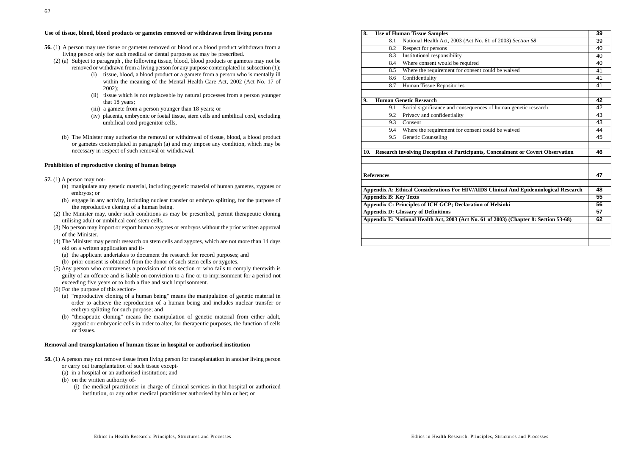### **Use of tissue, blood, blood products or gametes removed or withdrawn from living persons**

- **56.** (1) A person may use tissue or gametes removed or blood or a blood product withdrawn from a living person only for such medical or dental purposes as may be prescribed.
	- (2) (a) Subject to paragraph , the following tissue, blood, blood products or gametes may not be removed or withdrawn from a living person for any purpose contemplated in subsection (1):
		- (i) tissue, blood, a blood product or a gamete from a person who is mentally ill within the meaning of the Mental Health Care Act, 2002 (Act No. 17 of 2002);
		- (ii) tissue which is not replaceable by natural processes from a person younger that 18 years;
		- (iii) a gamete from a person younger than 18 years; or
		- (iv) placenta, embryonic or foetal tissue, stem cells and umbilical cord, excluding umbilical cord progenitor cells,
		- (b) The Minister may authorise the removal or withdrawal of tissue, blood, a blood product or gametes contemplated in paragraph (a) and may impose any condition, which may be necessary in respect of such removal or withdrawal.

### **Prohibition of reproductive cloning of human beings**

- **57.** (1) A person may not-
	- (a) manipulate any genetic material, including genetic material of human gametes, zygotes or embryos; or
	- (b) engage in any activity, including nuclear transfer or embryo splitting, for the purpose of the reproductive cloning of a human being.
	- (2) The Minister may, under such conditions as may be prescribed, permit therapeutic cloning utilising adult or umbilical cord stem cells.
	- (3) No person may import or export human zygotes or embryos without the prior written approval of the Minister.
	- (4) The Minister may permit research on stem cells and zygotes, which are not more than 14 days old on a written application and if-
		- (a) the applicant undertakes to document the research for record purposes; and
		- (b) prior consent is obtained from the donor of such stem cells or zygotes.
	- (5) Any person who contravenes a provision of this section or who fails to comply therewith is guilty of an offence and is liable on conviction to a fine or to imprisonment for a period not exceeding five years or to both a fine and such imprisonment.
	- (6) For the purpose of this section-
		- (a) "reproductive cloning of a human being" means the manipulation of genetic material in order to achieve the reproduction of a human being and includes nuclear transfer or embryo splitting for such purpose; and
		- (b) "therapeutic cloning" means the manipulation of genetic material from either adult, zygotic or embryonic cells in order to alter, for therapeutic purposes, the function of cells or tissues.

#### **Removal and transplantation of human tissue in hospital or authorised institution**

- **58.** (1) A person may not remove tissue from living person for transplantation in another living person or carry out transplantation of such tissue except-
	- (a) in a hospital or an authorised institution; and
	- (b) on the written authority of-
		- (i) the medical practitioner in charge of clinical services in that hospital or authorized institution, or any other medical practitioner authorised by him or her; or

| 8.  | <b>Use of Human Tissue Samples</b>                                                    |                                                                                       |    |
|-----|---------------------------------------------------------------------------------------|---------------------------------------------------------------------------------------|----|
|     | 8.1                                                                                   | National Health Act, 2003 (Act No. 61 of 2003) Section 68                             | 39 |
|     | 8.2                                                                                   | Respect for persons                                                                   | 40 |
|     | 8.3                                                                                   | Institutional responsibility                                                          | 40 |
|     | 8.4                                                                                   | Where consent would be required                                                       | 40 |
|     | 8.5                                                                                   | Where the requirement for consent could be waived                                     | 41 |
|     | 8.6                                                                                   | Confidentiality                                                                       | 41 |
|     | 8.7                                                                                   | Human Tissue Repositories                                                             | 41 |
| 9.  |                                                                                       | <b>Human Genetic Research</b>                                                         | 42 |
|     | 9.1                                                                                   | Social significance and consequences of human genetic research                        | 42 |
|     | 9.2                                                                                   | Privacy and confidentiality                                                           | 43 |
|     | 9.3                                                                                   | Consent                                                                               | 43 |
|     | 9.4                                                                                   | Where the requirement for consent could be waived                                     | 44 |
|     | 9.5                                                                                   | Genetic Counseling                                                                    | 45 |
|     |                                                                                       |                                                                                       |    |
| 10. |                                                                                       | Research involving Deception of Participants, Concealment or Covert Observation       | 46 |
|     |                                                                                       |                                                                                       |    |
|     |                                                                                       |                                                                                       |    |
|     | <b>References</b>                                                                     |                                                                                       | 47 |
|     |                                                                                       | Appendix A: Ethical Considerations For HIV/AIDS Clinical And Epidemiological Research | 48 |
|     | <b>Appendix B: Key Texts</b>                                                          |                                                                                       |    |
|     | Appendix C: Principles of ICH GCP; Declaration of Helsinki                            |                                                                                       |    |
|     | <b>Appendix D: Glossary of Definitions</b>                                            |                                                                                       |    |
|     | Appendix E: National Health Act, 2003 (Act No. 61 of 2003) (Chapter 8: Section 53-68) |                                                                                       |    |
|     |                                                                                       |                                                                                       | 62 |
|     |                                                                                       |                                                                                       |    |
|     |                                                                                       |                                                                                       |    |
|     |                                                                                       |                                                                                       |    |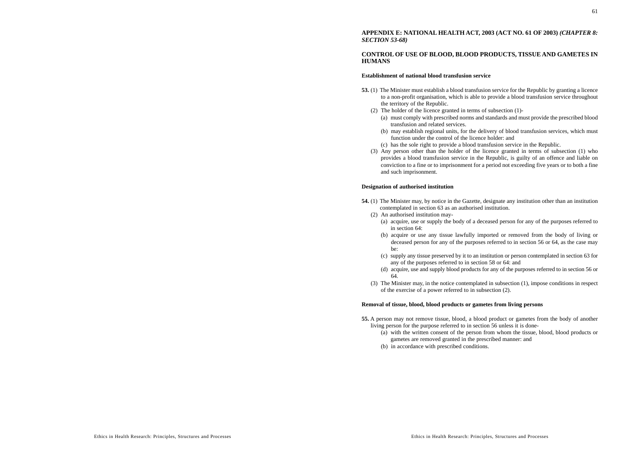### **APPENDIX E: NATIONAL HEALTH ACT, 2003 (ACT NO. 61 OF 2003)** *(CHAPTER 8: SECTION 53-68)*

# **CONTROL OF USE OF BLOOD, BLOOD PRODUCTS, TISSUE AND GAMETES IN HUMANS**

#### **Establishment of national blood transfusion service**

- **53.** (1) The Minister must establish a blood transfusion service for the Republic by granting a licence to a non-profit organisation, which is able to provide a blood transfusion service throughout the territory of the Republic.
	- (2) The holder of the licence granted in terms of subsection (1)-
		- (a) must comply with prescribed norms and standards and must provide the prescribed blood transfusion and related services.
		- (b) may establish regional units, for the delivery of blood transfusion services, which must function under the control of the licence holder: and
		- (c) has the sole right to provide a blood transfusion service in the Republic.
	- (3) Any person other than the holder of the licence granted in terms of subsection (1) who provides a blood transfusion service in the Republic, is guilty of an offence and liable on conviction to a fine or to imprisonment for a period not exceeding five years or to both a fine and such imprisonment.

#### **Designation of authorised institution**

- **54.** (1) The Minister may, by notice in the Gazette, designate any institution other than an institution contemplated in section 63 as an authorised institution.
- (2) An authorised institution may-
	- (a) acquire, use or supply the body of a deceased person for any of the purposes referred to in section 64:
	- (b) acquire or use any tissue lawfully imported or removed from the body of living or deceased person for any of the purposes referred to in section 56 or 64, as the case may be:
	- (c) supply any tissue preserved by it to an institution or person contemplated in section 63 for any of the purposes referred to in section 58 or 64: and
	- (d) acquire, use and supply blood products for any of the purposes referred to in section 56 or 64.
- (3) The Minister may, in the notice contemplated in subsection (1), impose conditions in respect of the exercise of a power referred to in subsection (2).

# **Removal of tissue, blood, blood products or gametes from living persons**

- **55.** A person may not remove tissue, blood, a blood product or gametes from the body of another living person for the purpose referred to in section 56 unless it is done-
	- (a) with the written consent of the person from whom the tissue, blood, blood products or gametes are removed granted in the prescribed manner: and
	- (b) in accordance with prescribed conditions.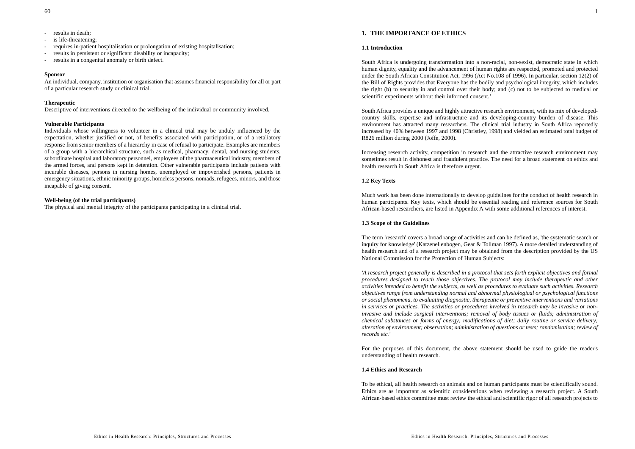- results in death;
- is life-threatening;
- requires in-patient hospitalisation or prolongation of existing hospitalisation;
- results in persistent or significant disability or incapacity;
- results in a congenital anomaly or birth defect.

#### **Sponsor**

An individual, company, institution or organisation that assumes financial responsibility for all or part of a particular research study or clinical trial.

### **Therapeutic**

Descriptive of interventions directed to the wellbeing of the individual or community involved.

#### **Vulnerable Participants**

Individuals whose willingness to volunteer in a clinical trial may be unduly influenced by the expectation, whether justified or not, of benefits associated with participation, or of a retaliatory response from senior members of a hierarchy in case of refusal to participate. Examples are members of a group with a hierarchical structure, such as medical, pharmacy, dental, and nursing students, subordinate hospital and laboratory personnel, employees of the pharmaceutical industry, members of the armed forces, and persons kept in detention. Other vulnerable participants include patients with incurable diseases, persons in nursing homes, unemployed or impoverished persons, patients in emergency situations, ethnic minority groups, homeless persons, nomads, refugees, minors, and those incapable of giving consent.

#### **Well-being (of the trial participants)**

The physical and mental integrity of the participants participating in a clinical trial.

# **1. THE IMPORTANCE OF ETHICS**

#### **1.1 Introduction**

South Africa is undergoing transformation into a non-racial, non-sexist, democratic state in which human dignity, equality and the advancement of human rights are respected, promoted and protected under the South African Constitution Act, 1996 (Act No.108 of 1996). In particular, section 12(2) of the Bill of Rights provides that Everyone has the bodily and psychological integrity, which includes the right (b) to security in and control over their body; and (c) not to be subjected to medical or scientific experiments without their informed consent.'

South Africa provides a unique and highly attractive research environment, with its mix of developedcountry skills, expertise and infrastructure and its developing-country burden of disease. This environment has attracted many researchers. The clinical trial industry in South Africa reportedly increased by 40% between 1997 and 1998 (Christley, 1998) and yielded an estimated total budget of R826 million during 2000 (Joffe, 2000).

Increasing research activity, competition in research and the attractive research environment may sometimes result in dishonest and fraudulent practice. The need for a broad statement on ethics and health research in South Africa is therefore urgent.

#### **1.2 Key Texts**

Much work has been done internationally to develop guidelines for the conduct of health research in human participants. Key texts, which should be essential reading and reference sources for South African-based researchers, are listed in Appendix A with some additional references of interest.

### **1.3 Scope of the Guidelines**

The term 'research' covers a broad range of activities and can be defined as, 'the systematic search or inquiry for knowledge' (Katzenellenbogen, Gear & Tollman 1997). A more detailed understanding of health research and of a research project may be obtained from the description provided by the US National Commission for the Protection of Human Subjects:

*'A research project generally is described in a protocol that sets forth explicit objectives and formal procedures designed to reach those objectives. The protocol may include therapeutic and other activities intended to benefit the subjects, as well as procedures to evaluate such activities. Research objectives range from understanding normal and abnormal physiological or psychological functions or social phenomena, to evaluating diagnostic, therapeutic or preventive interventions and variations in services or practices. The activities or procedures involved in research may be invasive or noninvasive and include surgical interventions; removal of body tissues or fluids; administration of chemical substances or forms of energy; modifications of diet; daily routine or service delivery; alteration of environment; observation; administration of questions or tests; randomisation; review of records etc.'*

For the purposes of this document, the above statement should be used to guide the reader's understanding of health research.

# **1.4 Ethics and Research**

To be ethical, all health research on animals and on human participants must be scientifically sound. Ethics are as important as scientific considerations when reviewing a research project. A South African-based ethics committee must review the ethical and scientific rigor of all research projects to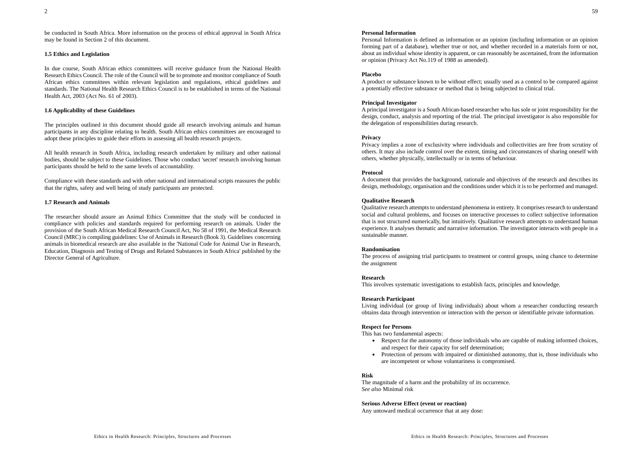be conducted in South Africa. More information on the process of ethical approval in South Africa may be found in Section 2 of this document.

#### **1.5 Ethics and Legislation**

In due course, South African ethics committees will receive guidance from the National Health Research Ethics Council. The role of the Council will be to promote and monitor compliance of South African ethics committees within relevant legislation and regulations, ethical guidelines and standards. The National Health Research Ethics Council is to be established in terms of the National Health Act, 2003 (Act No. 61 of 2003).

### **1.6 Applicability of these Guidelines**

The principles outlined in this document should guide all research involving animals and human participants in any discipline relating to health. South African ethics committees are encouraged to adopt these principles to guide their efforts in assessing all health research projects.

All health research in South Africa, including research undertaken by military and other national bodies, should be subject to these Guidelines. Those who conduct 'secret' research involving human participants should be held to the same levels of accountability.

Compliance with these standards and with other national and international scripts reassures the public that the rights, safety and well being of study participants are protected.

#### **1.7 Research and Animals**

The researcher should assure an Animal Ethics Committee that the study will be conducted in compliance with policies and standards required for performing research on animals. Under the provision of the South African Medical Research Council Act, No 58 of 1991, the Medical Research Council (MRC) is compiling guidelines: Use of Animals in Research (Book 3). Guidelines concerning animals in biomedical research are also available in the 'National Code for Animal Use in Research, Education, Diagnosis and Testing of Drugs and Related Substances in South Africa' published by the Director General of Agriculture.

#### **Personal Information**

Personal Information is defined as information or an opinion (including information or an opinion forming part of a database), whether true or not, and whether recorded in a materials form or not, about an individual whose identity is apparent, or can reasonably be ascertained, from the information or opinion (Privacy Act No.119 of 1988 as amended).

#### **Placebo**

A product or substance known to be without effect; usually used as a control to be compared against a potentially effective substance or method that is being subjected to clinical trial.

#### **Principal Investigator**

A principal investigator is a South African-based researcher who has sole or joint responsibility for the design, conduct, analysis and reporting of the trial. The principal investigator is also responsible for the delegation of responsibilities during research.

#### **Privacy**

Privacy implies a zone of exclusivity where individuals and collectivities are free from scrutiny of others. It may also include control over the extent, timing and circumstances of sharing oneself with others, whether physically, intellectually or in terms of behaviour.

#### **Protocol**

A document that provides the background, rationale and objectives of the research and describes its design, methodology, organisation and the conditions under which it is to be performed and managed.

#### **Qualitative Research**

Qualitative research attempts to understand phenomena in entirety. It comprises research to understand social and cultural problems, and focuses on interactive processes to collect subjective information that is not structured numerically, but intuitively. Qualitative research attempts to understand human experience. It analyses thematic and narrative information. The investigator interacts with people in a sustainable manner.

#### **Randomisation**

The process of assigning trial participants to treatment or control groups, using chance to determine the assignment

#### **Research**

This involves systematic investigations to establish facts, principles and knowledge.

#### **Research Participant**

Living individual (or group of living individuals) about whom a researcher conducting research obtains data through intervention or interaction with the person or identifiable private information.

#### **Respect for Persons**

This has two fundamental aspects:

- Respect for the autonomy of those individuals who are capable of making informed choices, and respect for their capacity for self determination;
- Protection of persons with impaired or diminished autonomy, that is, those individuals who are incompetent or whose voluntariness is compromised.

#### **Risk**

The magnitude of a harm and the probability of its occurrence. *See also* Minimal risk

**Serious Adverse Effect (event or reaction)** Any untoward medical occurrence that at any dose: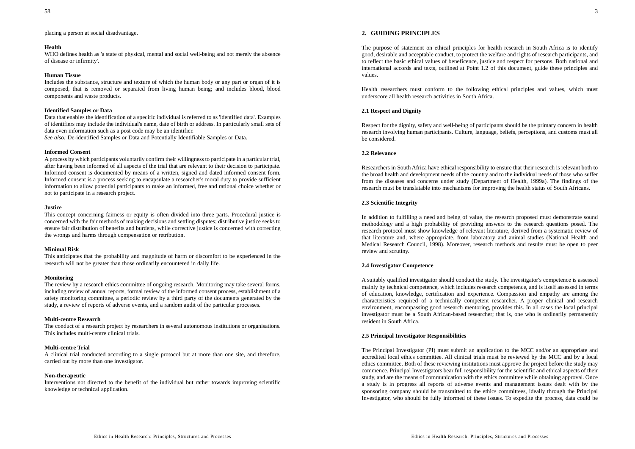# **2. GUIDING PRINCIPLES**

The purpose of statement on ethical principles for health research in South Africa is to identify good, desirable and acceptable conduct, to protect the welfare and rights of research participants, and to reflect the basic ethical values of beneficence, justice and respect for persons. Both national and international accords and texts, outlined at Point 1.2 of this document, guide these principles and values.

Health researchers must conform to the following ethical principles and values, which must underscore all health research activities in South Africa.

# **2.1 Respect and Dignity**

Respect for the dignity, safety and well-being of participants should be the primary concern in health research involving human participants. Culture, language, beliefs, perceptions, and customs must all be considered.

# **2.2 Relevance**

Researchers in South Africa have ethical responsibility to ensure that their research is relevant both to the broad health and development needs of the country and to the individual needs of those who suffer from the diseases and concerns under study (Department of Health, 1999a). The findings of the research must be translatable into mechanisms for improving the health status of South Africans.

# **2.3 Scientific Integrity**

In addition to fulfilling a need and being of value, the research proposed must demonstrate sound methodology and a high probability of providing answers to the research questions posed. The research protocol must show knowledge of relevant literature, derived from a systematic review of that literature and, where appropriate, from laboratory and animal studies (National Health and Medical Research Council, 1998). Moreover, research methods and results must be open to peer review and scrutiny.

# **2.4 Investigator Competence**

A suitably qualified investigator should conduct the study. The investigator's competence is assessed mainly by technical competence, which includes research competence, and is itself assessed in terms of education, knowledge, certification and experience. Compassion and empathy are among the characteristics required of a technically competent researcher. A proper clinical and research environment, encompassing good research mentoring, provides this. In all cases the local principal investigator must be a South African-based researcher; that is, one who is ordinarily permanently resident in South Africa.

# **2.5 Principal Investigator Responsibilities**

The Principal Investigator (PI) must submit an application to the MCC and/or an appropriate and accredited local ethics committee. All clinical trials must be reviewed by the MCC and by a local ethics committee. Both of these reviewing institutions must approve the project before the study may commence. Principal Investigators bear full responsibility for the scientific and ethical aspects of their study, and are the means of communication with the ethics committee while obtaining approval. Once a study is in progress all reports of adverse events and management issues dealt with by the sponsoring company should be transmitted to the ethics committees, ideally through the Principal Investigator, who should be fully informed of these issues. To expedite the process, data could be

placing a person at social disadvantage.

### **Health**

WHO defines health as 'a state of physical, mental and social well-being and not merely the absence of disease or infirmity'.

### **Human Tissue**

Includes the substance, structure and texture of which the human body or any part or organ of it is composed, that is removed or separated from living human being; and includes blood, blood components and waste products.

### **Identified Samples or Data**

Data that enables the identification of a specific individual is referred to as 'identified data'. Examples of identifiers may include the individual's name, date of birth or address. In particularly small sets of data even information such as a post code may be an identifier.

*See also:* De-identified Samples or Data and Potentially Identifiable Samples or Data.

# **Informed Consent**

A process by which participants voluntarily confirm their willingness to participate in a particular trial, after having been informed of all aspects of the trial that are relevant to their decision to participate. Informed consent is documented by means of a written, signed and dated informed consent form. Informed consent is a process seeking to encapsulate a researcher's moral duty to provide sufficient information to allow potential participants to make an informed, free and rational choice whether or not to participate in a research project.

### **Justice**

This concept concerning fairness or equity is often divided into three parts. Procedural justice is concerned with the fair methods of making decisions and settling disputes; distributive justice seeks to ensure fair distribution of benefits and burdens, while corrective justice is concerned with correcting the wrongs and harms through compensation or retribution.

### **Minimal Risk**

This anticipates that the probability and magnitude of harm or discomfort to be experienced in the research will not be greater than those ordinarily encountered in daily life.

### **Monitoring**

The review by a research ethics committee of ongoing research. Monitoring may take several forms, including review of annual reports, formal review of the informed consent process, establishment of a safety monitoring committee, a periodic review by a third party of the documents generated by the study, a review of reports of adverse events, and a random audit of the particular processes.

### **Multi-centre Research**

The conduct of a research project by researchers in several autonomous institutions or organisations. This includes multi-centre clinical trials.

### **Multi-centre Trial**

A clinical trial conducted according to a single protocol but at more than one site, and therefore, carried out by more than one investigator.

# **Non-therapeutic**

Interventions not directed to the benefit of the individual but rather towards improving scientific knowledge or technical application.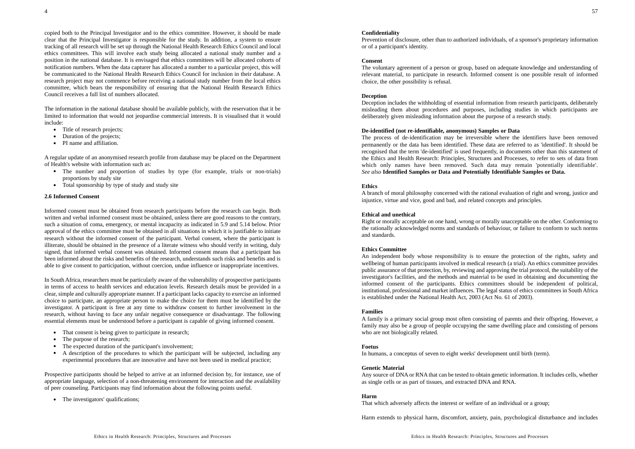copied both to the Principal Investigator and to the ethics committee. However, it should be made clear that the Principal Investigator is responsible for the study. In addition, a system to ensure tracking of all research will be set up through the National Health Research Ethics Council and local ethics committees. This will involve each study being allocated a national study number and a position in the national database. It is envisaged that ethics committees will be allocated cohorts of notification numbers. When the data capturer has allocated a number to a particular project, this will be communicated to the National Health Research Ethics Council for inclusion in their database. Aresearch project may not commence before receiving a national study number from the local ethics committee, which bears the responsibility of ensuring that the National Health Research Ethics Council receives a full list of numbers allocated.

The information in the national database should be available publicly, with the reservation that it be limited to information that would not jeopardise commercial interests. It is visualised that it would include:

- Title of research projects;
- Duration of the projects;
- PI name and affiliation.

A regular update of an anonymised research profile from database may be placed on the Department of Health's website with information such as:

- The number and proportion of studies by type (for example, trials or non-trials) proportions by study site
- Total sponsorship by type of study and study site

#### **2.6 Informed Consent**

Informed consent must be obtained from research participants before the research can begin. Both written and verbal informed consent must be obtained, unless there are good reasons to the contrary, such a situation of coma, emergency, or mental incapacity as indicated in 5.9 and 5.14 below. Prior approval of the ethics committee must be obtained in all situations in which it is justifiable to initiate research without the informed consent of the participant. Verbal consent, where the participant is illiterate, should be obtained in the presence of a literate witness who should verify in writing, duly signed, that informed verbal consent was obtained. Informed consent means that a participant has been informed about the risks and benefits of the research, understands such risks and benefits and is able to give consent to participation, without coercion, undue influence or inappropriate incentives.

In South Africa, researchers must be particularly aware of the vulnerability of prospective participants in terms of access to health services and education levels. Research details must be provided in a clear, simple and culturally appropriate manner. If a participant lacks capacity to exercise an informed choice to participate, an appropriate person to make the choice for them must be identified by the investigator. A participant is free at any time to withdraw consent to further involvement in the research, without having to face any unfair negative consequence or disadvantage. The following essential elements must be understood before a participant is capable of giving informed consent.

- That consent is being given to participate in research;
- The purpose of the research;
- The expected duration of the participant's involvement;
- A description of the procedures to which the participant will be subjected, including any experimental procedures that are innovative and have not been used in medical practice;

Prospective participants should be helped to arrive at an informed decision by, for instance, use of appropriate language, selection of a non-threatening environment for interaction and the availability of peer counseling. Participants may find information about the following points useful.

• The investigators' qualifications;

#### **Confidentiality**

Prevention of disclosure, other than to authorized individuals, of a sponsor's proprietary information or of a participant's identity.

#### **Consent**

The voluntary agreement of a person or group, based on adequate knowledge and understanding of relevant material, to participate in research. Informed consent is one possible result of informed choice, the other possibility is refusal.

#### **Deception**

Deception includes the withholding of essential information from research participants, deliberately misleading them about procedures and purposes, including studies in which participants are deliberately given misleading information about the purpose of a research study.

#### **De-identified (not re-identifiable, anonymous) Samples or Data**

The process of de-identification may be irreversible where the identifiers have been removed permanently or the data has been identified. These data are referred to as 'identified'. It should be recognised that the term 'de-identified' is used frequently, in documents other than this statement of the Ethics and Health Research: Principles, Structures and Processes, to refer to sets of data from which only names have been removed. Such data may remain 'potentially identifiable'. *See also* **Identified Samples or Data and Potentially Identifiable Samples or Data.**

#### **Ethics**

A branch of moral philosophy concerned with the rational evaluation of right and wrong, justice and injustice, virtue and vice, good and bad, and related concepts and principles.

### **Ethical and unethical**

Right or morally acceptable on one hand, wrong or morally unacceptable on the other. Conforming to the rationally acknowledged norms and standards of behaviour, or failure to conform to such norms and standards.

#### **Ethics Committee**

An independent body whose responsibility is to ensure the protection of the rights, safety and wellbeing of human participants involved in medical research (a trial). An ethics committee provides public assurance of that protection, by, reviewing and approving the trial protocol, the suitability of the investigator's facilities, and the methods and material to be used in obtaining and documenting the informed consent of the participants. Ethics committees should be independent of political, institutional, professional and market influences. The legal status of ethics committees in South Africa is established under the National Health Act, 2003 (Act No. 61 of 2003).

#### **Families**

A family is a primary social group most often consisting of parents and their offspring. However, a family may also be a group of people occupying the same dwelling place and consisting of persons who are not biologically related.

#### **Foetus**

In humans, a conceptus of seven to eight weeks' development until birth (term).

#### **Genetic Material**

Any source of DNA or RNA that can be tested to obtain genetic information. It includes cells, whether as single cells or as part of tissues, and extracted DNA and RNA.

#### **Harm**

That which adversely affects the interest or welfare of an individual or a group;

Harm extends to physical harm, discomfort, anxiety, pain, psychological disturbance and includes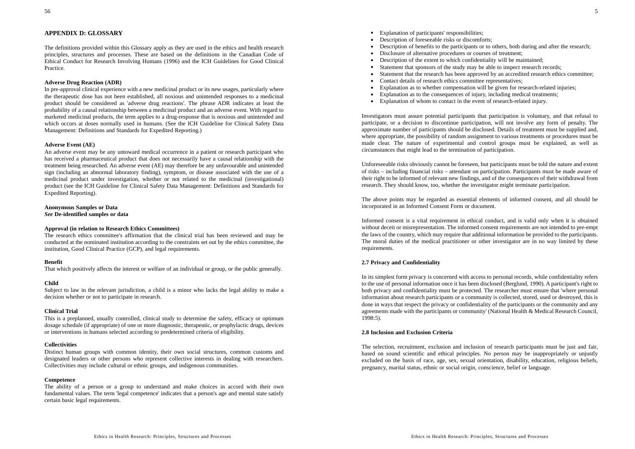# **APPENDIX D: GLOSSARY**

The definitions provided within this Glossary apply as they are used in the ethics and health research principles, structures and processes. These are based on the definitions in the Canadian Code of Ethical Conduct for Research Involving Humans (1996) and the ICH Guidelines for Good Clinical Practice.

### **Adverse Drug Reaction (ADR)**

In pre-approval clinical experience with a new medicinal product or its new usages, particularly where the therapeutic dose has not been established, all noxious and unintended responses to a medicinal product should be considered as 'adverse drug reactions'. The phrase ADR indicates at least the probability of a causal relationship between a medicinal product and an adverse event. With regard to marketed medicinal products, the term applies to a drug-response that is noxious and unintended and which occurs at doses normally used in humans. (See the ICH Guideline for Clinical Safety Data Management: Definitions and Standards for Expedited Reporting.)

#### **Adverse Event (AE)**

An adverse event may be any untoward medical occurrence in a patient or research participant who has received a pharmaceutical product that does not necessarily have a causal relationship with the treatment being researched. An adverse event (AE) may therefore be any unfavourable and unintended sign (including an abnormal laboratory finding), symptom, or disease associated with the use of a medicinal product under investigation, whether or not related to the medicinal (investigational) product (see the ICH Guideline for Clinical Safety Data Management: Definitions and Standards for Expedited Reporting).

### **Anonymous Samples or Data** *See* **De-identified samples or data**

#### **Approval (in relation to Research Ethics Committees)**

The research ethics committee's affirmation that the clinical trial has been reviewed and may be conducted at the nominated institution according to the constraints set out by the ethics committee, the institution, Good Clinical Practice (GCP), and legal requirements.

#### **Benefit**

That which positively affects the interest or welfare of an individual or group, or the public generally.

#### **Child**

Subject to law in the relevant jurisdiction, a child is a minor who lacks the legal ability to make a decision whether or not to participate in research.

#### **Clinical Trial**

This is a preplanned, usually controlled, clinical study to determine the safety, efficacy or optimum dosage schedule (if appropriate) of one or more diagnostic, therapeutic, or prophylactic drugs, devices or interventions in humans selected according to predetermined criteria of eligibility.

#### **Collectivities**

Distinct human groups with common identity, their own social structures, common customs and designated leaders or other persons who represent collective interests in dealing with researchers. Collectivities may include cultural or ethnic groups, and indigenous communities.

#### **Competence**

The ability of a person or a group to understand and make choices in accord with their own fundamental values. The term 'legal competence' indicates that a person's age and mental state satisfy certain basic legal requirements.

- Explanation of participants' responsibilities;
- Description of foreseeable risks or discomforts;
- **•** Description of benefits to the participants or to others, both during and after the research;
- . Disclosure of alternative procedures or courses of treatment;
- . Description of the extent to which confidentiality will be maintained;
- . Statement that sponsors of the study may be able to inspect research records;
- ۰ Statement that the research has been approved by an accredited research ethics committee;
- Contact details of research ethics committee representatives;
- . Explanation as to whether compensation will be given for research-related injuries;
- . Explanation as to the consequences of injury, including medical treatments;
- . Explanation of whom to contact in the event of research-related injury.

Investigators must assure potential participants that participation is voluntary, and that refusal to participate, or a decision to discontinue participation, will not involve any form of penalty. The approximate number of participants should be disclosed. Details of treatment must be supplied and, where appropriate, the possibility of random assignment to various treatments or procedures must be made clear. The nature of experimental and control groups must be explained, as well as circumstances that might lead to the termination of participation.

Unforeseeable risks obviously cannot be foreseen, but participants must be told the nature and extent of risks – including financial risks – attendant on participation. Participants must be made aware of their right to be informed of relevant new findings, and of the consequences of their withdrawal from research. They should know, too, whether the investigator might terminate participation.

The above points may be regarded as essential elements of informed consent, and all should be incorporated in an Informed Consent Form or document.

Informed consent is a vital requirement in ethical conduct, and is valid only when it is obtained without deceit or misrepresentation. The informed consent requirements are not intended to pre-empt the laws of the country, which may require that additional information be provided to the participants. The moral duties of the medical practitioner or other investigator are in no way limited by these requirements.

#### **2.7 Privacy and Confidentiality**

In its simplest form privacy is concerned with access to personal records, while confidentiality refers to the use of personal information once it has been disclosed (Berglund, 1990). A participant's right to both privacy and confidentiality must be protected. The researcher must ensure that 'where personal information about research participants or a community is collected, stored, used or destroyed, this is done in ways that respect the privacy or confidentiality of the participants or the community and any agreements made with the participants or community' (National Health & Medical Research Council, 1998:5).

#### **2.8 Inclusion and Exclusion Criteria**

The selection, recruitment, exclusion and inclusion of research participants must be just and fair, based on sound scientific and ethical principles. No person may be inappropriately or unjustly excluded on the basis of race, age, sex, sexual orientation, disability, education, religious beliefs, pregnancy, marital status, ethnic or social origin, conscience, belief or language.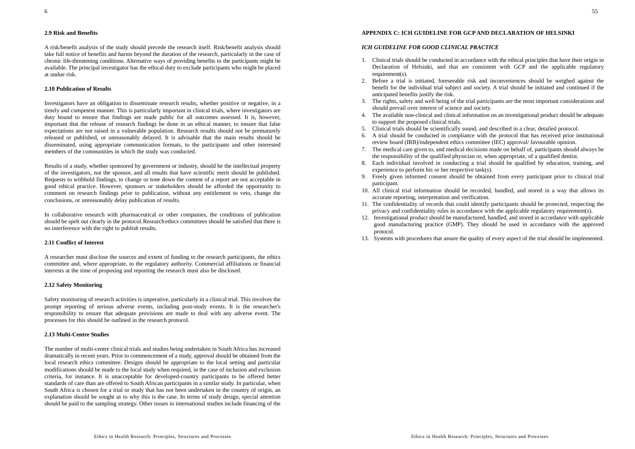### **2.9 Risk and Benefits**

A risk/benefit analysis of the study should precede the research itself. Risk/benefit analysis should take full notice of benefits and harms beyond the duration of the research, particularly in the case of chronic life-threatening conditions. Alternative ways of providing benefits to the participants might be available. The principal investigator has the ethical duty to exclude participants who might be placed at undue risk.

# **2.10 Publication of Results**

Investigators have an obligation to disseminate research results, whether positive or negative, in a timely and competent manner. This is particularly important in clinical trials, where investigators are duty bound to ensure that findings are made public for all outcomes assessed. It is, however, important that the release of research findings be done in an ethical manner, to ensure that false expectations are not raised in a vulnerable population. Research results should not be prematurely released or published, or unreasonably delayed. It is advisable that the main results should be disseminated, using appropriate communication formats, to the participants and other interested members of the communities in which the study was conducted.

Results of a study, whether sponsored by government or industry, should be the intellectual property of the investigators, not the sponsor, and all results that have scientific merit should be published. Requests to withhold findings, to change or tone down the content of a report are not acceptable in good ethical practice. However, sponsors or stakeholders should be afforded the opportunity to comment on research findings prior to publication, without any entitlement to veto, change the conclusions, or unreasonably delay publication of results.

In collaborative research with pharmaceutical or other companies, the conditions of publication should be spelt out clearly in the protocol.Research ethics committees should be satisfied that there is no interference with the right to publish results.

# **2.11 Conflict of Interest**

A researcher must disclose the sources and extent of funding to the research participants, the ethics committee and, where appropriate, to the regulatory authority. Commercial affiliations or financial interests at the time of proposing and reporting the research must also be disclosed.

#### **2.12 Safety Monitoring**

Safety monitoring of research activities is imperative, particularly in a clinical trial. This involves the prompt reporting of serious adverse events, including post-study events. It is the researcher's responsibility to ensure that adequate provisions are made to deal with any adverse event. The processes for this should be outlined in the research protocol.

# **2.13 Multi-Centre Studies**

The number of multi-centre clinical trials and studies being undertaken in South Africa has increased dramatically in recent years. Prior to commencement of a study, approval should be obtained from the local research ethics committee. Designs should be appropriate to the local setting and particular modifications should be made to the local study when required, in the case of inclusion and exclusion criteria, for instance. It is unacceptable for developed-country participants to be offered better standards of care than are offered to South African participants in a similar study. In particular, when South Africa is chosen for a trial or study that has not been undertaken in the country of origin, an explanation should be sought as to why this is the case. In terms of study design, special attention should be paid to the sampling strategy. Other issues in international studies include financing of the

#### **APPENDIX C: ICH GUIDELINE FOR GCP AND DECLARATION OF HELSINKI**

#### *ICH GUIDELINE FOR GOOD CLINICAL PRACTICE*

- 1. Clinical trials should be conducted in accordance with the ethical principles that have their origin in Declaration of Helsinki, and that are consistent with GCP and the applicable regulatory requirement(s).
- 2. Before a trial is initiated, foreseeable risk and inconveniences should be weighed against the benefit for the individual trial subject and society. A trial should be initiated and continued if the anticipated benefits justify the risk.
- 3. The rights, safety and well being of the trial participants are the most important considerations and should prevail over interest of science and society.
- 4. The available non-clinical and clinical information on an investigational product should be adequate to support the proposed clinical trials.
- 5. Clinical trials should be scientifically sound, and described in a clear, detailed protocol.
- 6. A trial should be conducted in compliance with the protocol that has received prior institutional review board (IRB)/independent ethics committee (IEC) approval/ favourable opinion.
- 7. The medical care given to, and medical decisions made on behalf of, participants should always be the responsibility of the qualified physician or, when appropriate, of a qualified dentist.
- 8. Each individual involved in conducting a trial should be qualified by education, training, and experience to perform his or her respective task(s).
- 9. Freely given informed consent should be obtained from every participant prior to clinical trial participant.
- 10. All clinical trial information should be recorded, handled, and stored in a way that allows its accurate reporting, interpretation and verification.
- 11. The confidentiality of records that could identify participants should be protected, respecting the privacy and confidentiality rules in accordance with the applicable regulatory requirement(s).
- 12. Investigational product should be manufactured, handled, and stored in accordance with applicable good manufacturing practice (GMP). They should be used in accordance with the approved protocol.
- 13. Systems with procedures that assure the quality of every aspect of the trial should be implemented.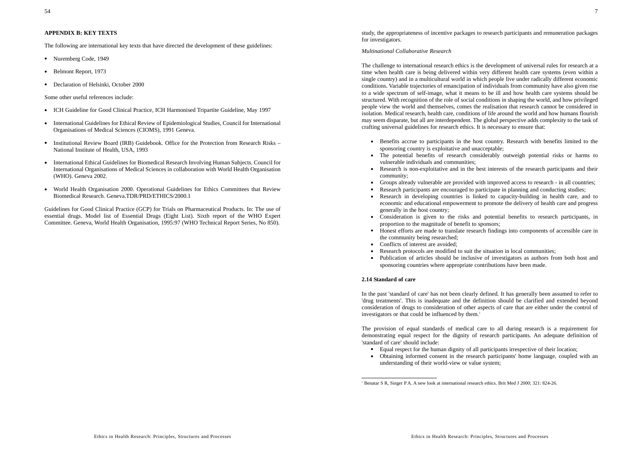### **APPENDIX B: KEY TEXTS**

The following are international key texts that have directed the development of these guidelines:

- Nuremberg Code, 1949
- Belmont Report, 1973
- Declaration of Helsinki, October 2000

Some other useful references include:

- ICH Guideline for Good Clinical Practice, ICH Harmonised Tripartite Guideline, May 1997
- International Guidelines for Ethical Review of Epidemiological Studies, Council for International Organisations of Medical Sciences (CIOMS), 1991 Geneva.
- Institutional Review Board (IRB) Guidebook. Office for the Protection from Research Risks National Institute of Health, USA, 1993
- International Ethical Guidelines for Biomedical Research Involving Human Subjects. Council for International Organisations of Medical Sciences in collaboration with World Health Organisation (WHO). Geneva 2002.
- World Health Organisation 2000. Operational Guidelines for Ethics Committees that Review Biomedical Research. Geneva.TDR/PRD/ETHICS/2000.1

Guidelines for Good Clinical Practice (GCP) for Trials on Pharmaceutical Products. In: The use of essential drugs. Model list of Essential Drugs (Eight List). Sixth report of the WHO Expert Committee. Geneva, World Health Organisation, 1995:97 (WHO Technical Report Series, No 850).

Ethics in Health Research: Principles, Structures and Processes

study, the appropriateness of incentive packages to research participants and remuneration packages for investigators.

#### *Multinational Collaborative Research*

The challenge to international research ethics is the development of universal rules for research at a time when health care is being delivered within very different health care systems (even within a single country) and in a multicultural world in which people live under radically different economic conditions. Variable trajectories of emancipation of individuals from community have also given rise to a wide spectrum of self-image, what it means to be ill and how health care systems should be structured. With recognition of the role of social conditions in shaping the world, and how privileged people view the world and themselves, comes the realisation that research cannot be considered in isolation. Medical research, health care, conditions of life around the world and how humans flourish may seem disparate, but all are interdependent. The global perspective adds complexity to the task of crafting universal guidelines for research ethics. It is necessary to ensure that:

- Benefits accrue to participants in the host country. Research with benefits limited to the sponsoring country is exploitative and unacceptable;
- The potential benefits of research considerably outweigh potential risks or harms to vulnerable individuals and communities;
- . Research is non-exploitative and in the best interests of the research participants and their community;
- Groups already vulnerable are provided with improved access to research in all countries;
- Research participants are encouraged to participate in planning and conducting studies;
- . Research in developing countries is linked to capacity-building in health care, and to economic and educational empowerment to promote the delivery of health care and progress generally in the host country;
- Consideration is given to the risks and potential benefits to research participants, in proportion to the magnitude of benefit to sponsors;
- Honest efforts are made to translate research findings into components of accessible care in the community being researched;
- Conflicts of interest are avoided;
- Research protocols are modified to suit the situation in local communities;
- Publication of articles should be inclusive of investigators as authors from both host and sponsoring countries where appropriate contributions have been made.

# **2.14 Standard of care**

In the past 'standard of care' has not been clearly defined. It has generally been assumed to refer to 'drug treatments'. This is inadequate and the definition should be clarified and extended beyond consideration of drugs to consideration of other aspects of care that are either under the control of investigators or that could be influenced by them.<sup>1</sup>

The provision of equal standards of medical care to all during research is a requirement for demonstrating equal respect for the dignity of research participants. An adequate definition of 'standard of care' should include:

- Equal respect for the human dignity of all participants irrespective of their location;
- Obtaining informed consent in the research participants' home language, coupled with an understanding of their world-view or value system;

<sup>1</sup> Benatar S R, Singer P A. A new look at international research ethics. Brit Med J 2000; 321: 824-26.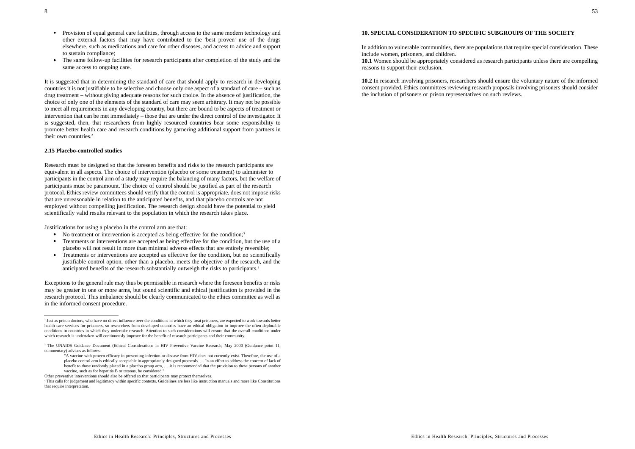- Provision of equal general care facilities, through access to the same modern technology and other external factors that may have contributed to the 'best proven' use of the drugs elsewhere, such as medications and care for other diseases, and access to advice and support to sustain compliance;
- . The same follow-up facilities for research participants after completion of the study and the same access to ongoing care.

It is suggested that in determining the standard of care that should apply to research in developing countries it is not justifiable to be selective and choose only one aspect of a standard of care – such as drug treatment – without giving adequate reasons for such choice. In the absence of justification, the choice of only one of the elements of the standard of care may seem arbitrary. It may not be possible to meet all requirements in any developing country, but there are bound to be aspects of treatment or intervention that can be met immediately – those that are under the direct control of the investigator. It is suggested, then, that researchers from highly resourced countries bear some responsibility to promote better health care and research conditions by garnering additional support from partners in their own countries.<sup>2</sup>

#### **2.15 Placebo-controlled studies**

Research must be designed so that the foreseen benefits and risks to the research participants are equivalent in all aspects. The choice of intervention (placebo or some treatment) to administer to participants in the control arm of a study may require the balancing of many factors, but the welfare of participants must be paramount. The choice of control should be justified as part of the research protocol. Ethics review committees should verify that the control is appropriate, does not impose risks that are unreasonable in relation to the anticipated benefits, and that placebo controls are not employed without compelling justification. The research design should have the potential to yield scientifically valid results relevant to the population in which the research takes place.

Justifications for using a placebo in the control arm are that:

- No treatment or intervention is accepted as being effective for the condition;<sup>3</sup>
- Treatments or interventions are accepted as being effective for the condition, but the use of a placebo will not result in more than minimal adverse effects that are entirely reversible;
- Treatments or interventions are accepted as effective for the condition, but no scientifically justifiable control option, other than a placebo, meets the objective of the research, and the anticipated benefits of the research substantially outweigh the risks to participants.4

Exceptions to the general rule may thus be permissible in research where the foreseen benefits or risks may be greater in one or more arms, but sound scientific and ethical justification is provided in the research protocol. This imbalance should be clearly communicated to the ethics committee as well as in the informed consent procedure.

Other preventive interventions should also be offered so that participants may protect themselves.

### **10. SPECIAL CONSIDERATION TO SPECIFIC SUBGROUPS OF THE SOCIETY**

In addition to vulnerable communities, there are populations that require special consideration. These include women, prisoners, and children.

**10.1** Women should be appropriately considered as research participants unless there are compelling reasons to support their exclusion.

**10.2** In research involving prisoners, researchers should ensure the voluntary nature of the informed consent provided. Ethics committees reviewing research proposals involving prisoners should consider the inclusion of prisoners or prison representatives on such reviews.

53

<sup>2</sup> Just as prison doctors, who have no direct influence over the conditions in which they treat prisoners, are expected to work towards better health care services for prisoners, so researchers from developed countries have an ethical obligation to improve the often deplorable conditions in countries in which they undertake research. Attention to such considerations will ensure that the overall conditions under which research is undertaken will continuously improve for the benefit of research participants and their community.

<sup>&</sup>lt;sup>3</sup> The UNAIDS Guidance Document (Ethical Considerations in HIV Preventive Vaccine Research, May 2000 (Guidance point 11, commentary) advises as follows:

<sup>&</sup>quot;A vaccine with proven efficacy in preventing infection or disease from HIV does not currently exist. Therefore, the use of a placebo control arm is ethically acceptable in appropriately designed protocols. … In an effort to address the concern of lack of benefit to those randomly placed in a placebo group arm, … it is recommended that the provision to these persons of another vaccine, such as for hepatitis B or tetanus, be considered."

<sup>4</sup> This calls for judgement and legitimacy within specific contexts. Guidelines are less like instruction manuals and more like Constitutions that require interpretation.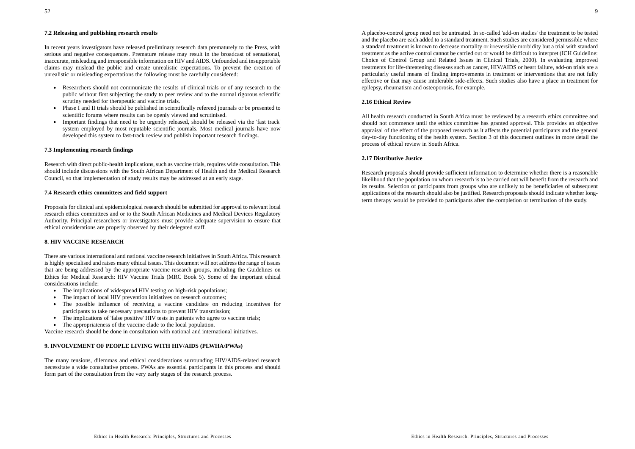# **7.2 Releasing and publishing research results**

In recent years investigators have released preliminary research data prematurely to the Press, with serious and negative consequences. Premature release may result in the broadcast of sensational, inaccurate, misleading and irresponsible information on HIV and AIDS. Unfounded and insupportable claims may mislead the public and create unrealistic expectations. To prevent the creation of unrealistic or misleading expectations the following must be carefully considered:

- Researchers should not communicate the results of clinical trials or of any research to the public without first subjecting the study to peer review and to the normal rigorous scientific scrutiny needed for therapeutic and vaccine trials.
- $\bullet$  Phase I and II trials should be published in scientifically refereed journals or be presented to scientific forums where results can be openly viewed and scrutinised.
- Important findings that need to be urgently released, should be released via the 'fast track' system employed by most reputable scientific journals. Most medical journals have now developed this system to fast-track review and publish important research findings.

### **7.3 Implementing research findings**

Research with direct public-health implications, such as vaccine trials, requires wide consultation. This should include discussions with the South African Department of Health and the Medical Research Council, so that implementation of study results may be addressed at an early stage.

#### **7.4 Research ethics committees and field support**

Proposals for clinical and epidemiological research should be submitted for approval to relevant local research ethics committees and or to the South African Medicines and Medical Devices Regulatory Authority. Principal researchers or investigators must provide adequate supervision to ensure that ethical considerations are properly observed by their delegated staff.

# **8. HIV VACCINE RESEARCH**

There are various international and national vaccine research initiatives in South Africa. This researchis highly specialised and raises many ethical issues. This document will not address the range of issues that are being addressed by the appropriate vaccine research groups, including the Guidelines on Ethics for Medical Research: HIV Vaccine Trials (MRC Book 5). Some of the important ethical considerations include:

- The implications of widespread HIV testing on high-risk populations;
- The impact of local HIV prevention initiatives on research outcomes;
- The possible influence of receiving a vaccine candidate on reducing incentives for participants to take necessary precautions to prevent HIV transmission;
- The implications of 'false positive' HIV tests in patients who agree to vaccine trials;
- The appropriateness of the vaccine clade to the local population.

Vaccine research should be done in consultation with national and international initiatives.

# **9. INVOLVEMENT OF PEOPLE LIVING WITH HIV/AIDS (PLWHA/PWAs)**

The many tensions, dilemmas and ethical considerations surrounding HIV/AIDS-related research necessitate a wide consultative process. PWAs are essential participants in this process and should form part of the consultation from the very early stages of the research process.

A placebo-control group need not be untreated. In so-called 'add-on studies' the treatment to be tested and the placebo are each added to a standard treatment. Such studies are considered permissible where a standard treatment is known to decrease mortality or irreversible morbidity but a trial with standard treatment as the active control cannot be carried out or would be difficult to interpret (ICH Guideline: Choice of Control Group and Related Issues in Clinical Trials, 2000). In evaluating improved treatments for life-threatening diseases such as cancer, HIV/AIDS or heart failure, add-on trials are a particularly useful means of finding improvements in treatment or interventions that are not fully effective or that may cause intolerable side-effects. Such studies also have a place in treatment for epilepsy, rheumatism and osteoporosis, for example.

#### **2.16 Ethical Review**

All health research conducted in South Africa must be reviewed by a research ethics committee and should not commence until the ethics committee has granted approval. This provides an objective appraisal of the effect of the proposed research as it affects the potential participants and the general day-to-day functioning of the health system. Section 3 of this document outlines in more detail the process of ethical review in South Africa.

#### **2.17 Distributive Justice**

Research proposals should provide sufficient information to determine whether there is a reasonable likelihood that the population on whom research is to be carried out will benefit from the research and its results. Selection of participants from groups who are unlikely to be beneficiaries of subsequent applications of the research should also be justified. Research proposals should indicate whether longterm therapy would be provided to participants after the completion or termination of the study.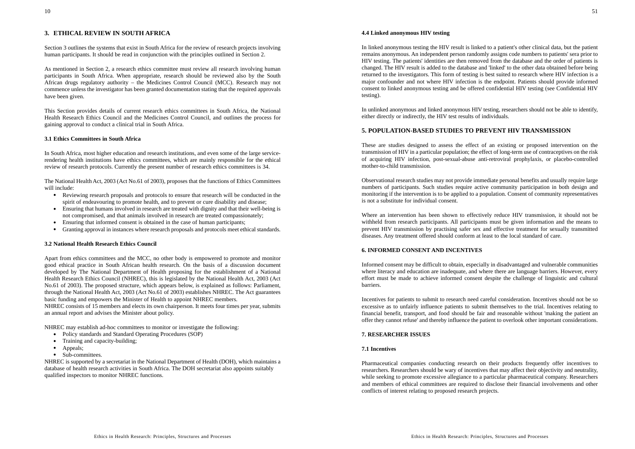# **3. ETHICAL REVIEW IN SOUTH AFRICA**

Section 3 outlines the systems that exist in South Africa for the review of research projects involving human participants. It should be read in conjunction with the principles outlined in Section 2.

As mentioned in Section 2, a research ethics committee must review all research involving human participants in South Africa. When appropriate, research should be reviewed also by the South African drugs regulatory authority – the Medicines Control Council (MCC). Research may not commence unless the investigator has been granted documentation stating that the required approvals have been given.

This Section provides details of current research ethics committees in South Africa, the National Health Research Ethics Council and the Medicines Control Council, and outlines the process for gaining approval to conduct a clinical trial in South Africa.

#### **3.1 Ethics Committees in South Africa**

In South Africa, most higher education and research institutions, and even some of the large servicerendering health institutions have ethics committees, which are mainly responsible for the ethical review of research protocols. Currently the present number of research ethics committees is 34.

The National Health Act, 2003 (Act No.61 of 2003), proposes that the functions of Ethics Committees will include:

- Reviewing research proposals and protocols to ensure that research will be conducted in the spirit of endeavouring to promote health, and to prevent or cure disability and disease;
- Ensuring that humans involved in research are treated with dignity and that their well-being is not compromised, and that animals involved in research are treated compassionately;
- . Ensuring that informed consent is obtained in the case of human participants;
- ۰ Granting approval in instances where research proposals and protocols meet ethical standards.

### **3.2 National Health Research Ethics Council**

Apart from ethics committees and the MCC, no other body is empowered to promote and monitor good ethical practice in South African health research. On the basis of a discussion document developed by The National Department of Health proposing for the establishment of a National Health Research Ethics Council (NHREC), this is legislated by the National Health Act, 2003 (Act No.61 of 2003). The proposed structure, which appears below, is explained as follows: Parliament, through the National Health Act, 2003 (Act No.61 of 2003) establishes NHREC. The Act guarantees basic funding and empowers the Minister of Health to appoint NHREC members. NHREC consists of 15 members and elects its own chairperson. It meets four times per year, submits an annual report and advises the Minister about policy.

NHREC may establish ad-hoc committees to monitor or investigate the following:

- Policy standards and Standard Operating Procedures (SOP)
- Training and capacity-building;
- Appeals;
- Sub-committees.

NHREC is supported by a secretariat in the National Department of Health (DOH), which maintains a database of health research activities in South Africa. The DOH secretariat also appoints suitably qualified inspectors to monitor NHREC functions.

#### **4.4 Linked anonymous HIV testing**

In linked anonymous testing the HIV result is linked to a patient's other clinical data, but the patient remains anonymous. An independent person randomly assigns code numbers to patients' sera prior to HIV testing. The patients' identities are then removed from the database and the order of patients is changed. The HIV result is added to the database and 'linked' to the other data obtained before being returned to the investigators. This form of testing is best suited to research where HIV infection is a major confounder and not where HIV infection is the endpoint. Patients should provide informed consent to linked anonymous testing and be offered confidential HIV testing (see Confidential HIV testing).

In unlinked anonymous and linked anonymous HIV testing, researchers should not be able to identify, either directly or indirectly, the HIV test results of individuals.

# **5. POPULATION-BASED STUDIES TO PREVENT HIV TRANSMISSION**

These are studies designed to assess the effect of an existing or proposed intervention on the transmission of HIV in a particular population; the effect of long-term use of contraceptives on the risk of acquiring HIV infection, post-sexual-abuse anti-retroviral prophylaxis, or placebo-controlled mother-to-child transmission.

Observational research studies may not provide immediate personal benefits and usually require large numbers of participants. Such studies require active community participation in both design and monitoring if the intervention is to be applied to a population. Consent of community representatives is not a substitute for individual consent.

Where an intervention has been shown to effectively reduce HIV transmission, it should not be withheld from research participants. All participants must be given information and the means to prevent HIV transmission by practising safer sex and effective treatment for sexually transmitted diseases. Any treatment offered should conform at least to the local standard of care.

### **6. INFORMED CONSENT AND INCENTIVES**

Informed consent may be difficult to obtain, especially in disadvantaged and vulnerable communities where literacy and education are inadequate, and where there are language barriers. However, every effort must be made to achieve informed consent despite the challenge of linguistic and cultural barriers.

Incentives for patients to submit to research need careful consideration. Incentives should not be so excessive as to unfairly influence patients to submit themselves to the trial. Incentives relating to financial benefit, transport, and food should be fair and reasonable without 'making the patient an offer they cannot refuse' and thereby influence the patient to overlook other important considerations.

# **7. RESEARCHER ISSUES**

#### **7.1 Incentives**

Pharmaceutical companies conducting research on their products frequently offer incentives to researchers. Researchers should be wary of incentives that may affect their objectivity and neutrality, while seeking to promote excessive allegiance to a particular pharmaceutical company. Researchers and members of ethical committees are required to disclose their financial involvements and other conflicts of interest relating to proposed research projects.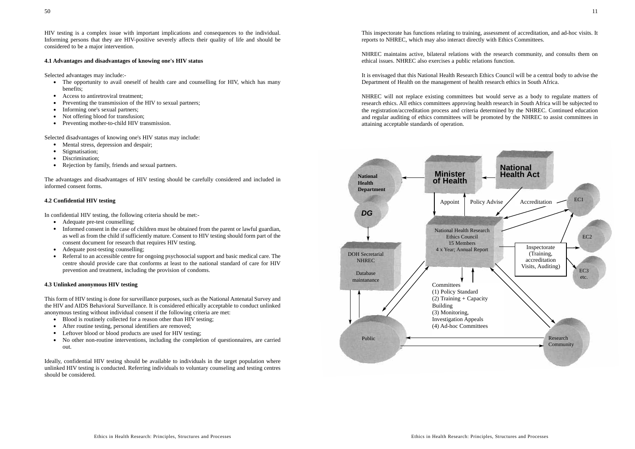HIV testing is a complex issue with important implications and consequences to the individual. Informing persons that they are HIV-positive severely affects their quality of life and should be considered to be a major intervention.

### **4.1 Advantages and disadvantages of knowing one's HIV status**

Selected advantages may include:-

- The opportunity to avail oneself of health care and counselling for HIV, which has many benefits;
- Access to antiretroviral treatment;
- Preventing the transmission of the HIV to sexual partners;
- Informing one's sexual partners;
- Not offering blood for transfusion;
- $\bullet$ Preventing mother-to-child HIV transmission.

Selected disadvantages of knowing one's HIV status may include:

- Mental stress, depression and despair;
- Stigmatisation;
- Discrimination;
- Rejection by family, friends and sexual partners.

The advantages and disadvantages of HIV testing should be carefully considered and included in informed consent forms.

# **4.2 Confidential HIV testing**

In confidential HIV testing, the following criteria should be met:-

- Adequate pre-test counselling;
- Informed consent in the case of children must be obtained from the parent or lawful guardian, as well as from the child if sufficiently mature. Consent to HIV testing should form part of the consent document for research that requires HIV testing.
- Adequate post-testing counselling;
- . Referral to an accessible centre for ongoing psychosocial support and basic medical care. The centre should provide care that conforms at least to the national standard of care for HIV prevention and treatment, including the provision of condoms.

# **4.3 Unlinked anonymous HIV testing**

This form of HIV testing is done for surveillance purposes, such as the National Antenatal Survey and the HIV and AIDS Behavioral Surveillance. It is considered ethically acceptable to conduct unlinked anonymous testing without individual consent if the following criteria are met:

- Blood is routinely collected for a reason other than HIV testing;
- After routine testing, personal identifiers are removed;
- Leftover blood or blood products are used for HIV testing;
- No other non-routine interventions, including the completion of questionnaires, are carried out.

Ideally, confidential HIV testing should be available to individuals in the target population where unlinked HIV testing is conducted. Referring individuals to voluntary counseling and testing centres should be considered.

NHREC maintains active, bilateral relations with the research community, and consults them on ethical issues. NHREC also exercises a public relations function.

It is envisaged that this National Health Research Ethics Council will be a central body to advise the Department of Health on the management of health research ethics in South Africa.

NHREC will not replace existing committees but would serve as a body to regulate matters of research ethics. All ethics committees approving health research in South Africa will be subjected to the registration/accreditation process and criteria determined by the NHREC. Continued education and regular auditing of ethics committees will be promoted by the NHREC to assist committees in attaining acceptable standards of operation.

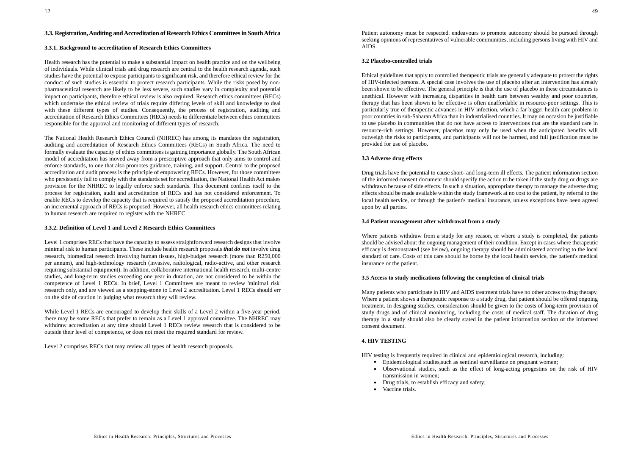# **3.3. Registration, Auditing and Accreditation of Research Ethics Committees in South Africa**

#### **3.3.1. Background to accreditation of Research Ethics Committees**

Health research has the potential to make a substantial impact on health practice and on the wellbeing of individuals. While clinical trials and drug research are central to the health research agenda, such studies have the potential to expose participants to significant risk, and therefore ethical review for the conduct of such studies is essential to protect research participants. While the risks posed by nonpharmaceutical research are likely to be less severe, such studies vary in complexity and potential impact on participants, therefore ethical review is also required. Research ethics committees (RECs) which undertake the ethical review of trials require differing levels of skill and knowledge to deal with these different types of studies. Consequently, the process of registration, auditing and accreditation of Research Ethics Committees (RECs) needs to differentiate between ethics committees responsible for the approval and monitoring of different types of research.

The National Health Research Ethics Council (NHREC) has among its mandates the registration, auditing and accreditation of Research Ethics Committees (RECs) in South Africa. The need to formally evaluate the capacity of ethics committees is gaining importance globally. The South African model of accreditation has moved away from a prescriptive approach that only aims to control and enforce standards, to one that also promotes guidance, training, and support. Central to the proposed accreditation and audit process is the principle of empowering RECs. However, for those committees who persistently fail to comply with the standards set for accreditation, the National Health Act makes provision for the NHREC to legally enforce such standards. This document confines itself to the process for registration, audit and accreditation of RECs and has not considered enforcement. To enable RECs to develop the capacity that is required to satisfy the proposed accreditation procedure, an incremental approach of RECs is proposed. However, all health research ethics committees relating to human research are required to register with the NHREC.

### **3.3.2. Definition of Level 1 and Level 2 Research Ethics Committees**

Level 1 comprises RECs that have the capacity to assess straightforward research designs that involve minimal risk to human participants. These include health research proposals *that do not* involve drug research, biomedical research involving human tissues, high-budget research (more than R250,000 per annum), and high-technology research (invasive, radiological, radio-active, and other research requiring substantial equipment). In addition, collaborative international health research, multi-centre studies, and long-term studies exceeding one year in duration, are not considered to be within the competence of Level 1 RECs. In brief, Level 1 Committees are meant to review 'minimal risk' research only, and are viewed as a stepping-stone to Level 2 accreditation. Level 1 RECs should err on the side of caution in judging what research they will review.

While Level 1 RECs are encouraged to develop their skills of a Level 2 within a five-year period, there may be some RECs that prefer to remain as a Level 1 approval committee. The NHREC may withdraw accreditation at any time should Level 1 RECs review research that is considered to be outside their level of competence, or does not meet the required standard for review.

Level 2 comprises RECs that may review all types of health research proposals.

Patient autonomy must be respected. endeavours to promote autonomy should be pursued through seeking opinions of representatives of vulnerable communities, including persons living with HIV and AIDS.

#### **3.2 Placebo-controlled trials**

Ethical guidelines that apply to controlled therapeutic trials are generally adequate to protect the rights of HIV-infected persons. A special case involves the use of placebo after an intervention has already been shown to be effective. The general principle is that the use of placebo in these circumstances is unethical. However with increasing disparities in health care between wealthy and poor countries, therapy that has been shown to be effective is often unaffordable in resource-poor settings. This is particularly true of therapeutic advances in HIV infection, which a far bigger health care problem in poor countries in sub-Saharan Africa than in industrialised countries. It may on occasion be justifiable to use placebo in communities that do not have access to interventions that are the standard care in resource-rich settings. However, placebos may only be used when the anticipated benefits will outweigh the risks to participants, and participants will not be harmed, and full justification must be provided for use of placebo.

### **3.3 Adverse drug effects**

Drug trials have the potential to cause short- and long-term ill effects. The patient information section of the informed consent document should specify the action to be taken if the study drug or drugs are withdrawn because of side effects. In such a situation, appropriate therapy to manage the adverse drug effects should be made available within the study framework at no cost to the patient, by referral to the local health service, or through the patient's medical insurance, unless exceptions have been agreed upon by all parties.

#### **3.4 Patient management after withdrawal from a study**

Where patients withdraw from a study for any reason, or where a study is completed, the patients should be advised about the ongoing management of their condition. Except in cases where therapeutic efficacy is demonstrated (see below), ongoing therapy should be administered according to the local standard of care. Costs of this care should be borne by the local health service, the patient's medical insurance or the patient.

### **3.5 Access to study medications following the completion of clinical trials**

Many patients who participate in HIV and AIDS treatment trials have no other access to drug therapy. Where a patient shows a therapeutic response to a study drug, that patient should be offered ongoing treatment. In designing studies, consideration should be given to the costs of long-term provision of study drugs and of clinical monitoring, including the costs of medical staff. The duration of drug therapy in a study should also be clearly stated in the patient information section of the informed consent document.

### **4. HIV TESTING**

HIV testing is frequently required in clinical and epidemiological research, including:

- Epidemiological studies,such as sentinel surveillance on pregnant women;
- Observational studies, such as the effect of long-acting progestins on the risk of HIV transmission in women;
- Drug trials, to establish efficacy and safety;
- Vaccine trials.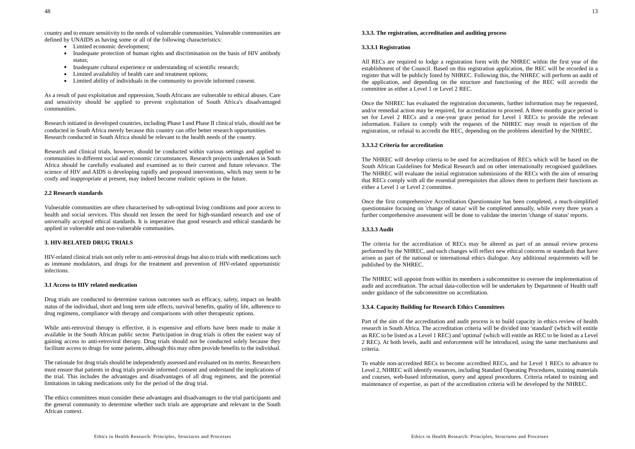country and to ensure sensitivity to the needs of vulnerable communities. Vulnerable communities are defined by UNAIDS as having some or all of the following characteristics:

- Limited economic development;
- Inadequate protection of human rights and discrimination on the basis of HIV antibody status:
- Inadequate cultural experience or understanding of scientific research;
- Limited availability of health care and treatment options;
- Limited ability of individuals in the community to provide informed consent.

As a result of past exploitation and oppression, South Africans are vulnerable to ethical abuses. Care and sensitivity should be applied to prevent exploitation of South Africa's disadvantaged communities.

Research initiated in developed countries, including Phase I and Phase II clinical trials, should not be conducted in South Africa merely because this country can offer better research opportunities. Research conducted in South Africa should be relevant to the health needs of the country.

Research and clinical trials, however, should be conducted within various settings and applied to communities in different social and economic circumstances. Research projects undertaken in South Africa should be carefully evaluated and examined as to their current and future relevance. The science of HIV and AIDS is developing rapidly and proposed interventions, which may seem to be costly and inappropriate at present, may indeed become realistic options in the future.

#### **2.2 Research standards**

Vulnerable communities are often characterised by sub-optimal living conditions and poor access to health and social services. This should not lessen the need for high-standard research and use of universally accepted ethical standards. It is imperative that good research and ethical standards be applied in vulnerable and non-vulnerable communities.

# **3. HIV-RELATED DRUG TRIALS**

HIV-related clinical trials not only refer to anti-retroviral drugs but also to trials with medications such as immune modulators, and drugs for the treatment and prevention of HIV-related opportunistic infections.

#### **3.1 Access to HIV related medication**

Drug trials are conducted to determine various outcomes such as efficacy, safety, impact on health status of the individual, short and long term side effects, survival benefits, quality of life, adherence to drug regimens, compliance with therapy and comparisons with other therapeutic options.

While anti-retroviral therapy is effective, it is expensive and efforts have been made to make it available in the South African public sector. Participation in drug trials is often the easiest way of gaining access to anti-retroviral therapy. Drug trials should not be conducted solely because they facilitate access to drugs for some patients, although this may often provide benefits to the individual.

The rationale for drug trials should be independently assessed and evaluated on its merits. Researchers must ensure that patients in drug trials provide informed consent and understand the implications of the trial. This includes the advantages and disadvantages of all drug regimens, and the potential limitations in taking medications only for the period of the drug trial.

The ethics committees must consider these advantages and disadvantages to the trial participants and the general community to determine whether such trials are appropriate and relevant in the South African context.

#### **3.3.3. The registration, accreditation and auditing process**

#### **3.3.3.1 Registration**

All RECs are required to lodge a registration form with the NHREC within the first year of the establishment of the Council. Based on this registration application, the REC will be recorded in a register that will be publicly listed by NHREC. Following this, the NHREC will perform an audit of the application, and depending on the structure and functioning of the REC will accredit the committee as either a Level 1 or Level 2 REC.

Once the NHREC has evaluated the registration documents, further information may be requested, and/or remedial action may be required, for accreditation to proceed. A three months grace period is set for Level 2 RECs and a one-year grace period for Level 1 RECs to provide the relevant information. Failure to comply with the requests of the NHREC may result in rejection of the registration, or refusal to accredit the REC, depending on the problems identified by the NHREC.

#### **3.3.3.2 Criteria for accreditation**

The NHREC will develop criteria to be used for accreditation of RECs which will be based on the South African Guidelines for Medical Research and on other internationally recognised guidelines. The NHREC will evaluate the initial registration submissions of the RECs with the aim of ensuring that RECs comply with all the essential prerequisites that allows them to perform their functions as either a Level 1 or Level 2 committee.

Once the first comprehensive Accreditation Questionnaire has been completed, a much-simplified questionnaire focusing on 'change of status' will be completed annually, while every three years a further comprehensive assessment will be done to validate the interim 'change of status' reports.

# **3.3.3.3 Audit**

The criteria for the accreditation of RECs may be altered as part of an annual review process performed by the NHREC, and such changes will reflect new ethical concerns or standards that have arisen as part of the national or international ethics dialogue. Any additional requirements will be published by the NHREC.

The NHREC will appoint from within its members a subcommittee to oversee the implementation of audit and accreditation. The actual data-collection will be undertaken by Department of Health staff under guidance of the subcommittee on accreditation.

#### **3.3.4. Capacity Building for Research Ethics Committees**

Part of the aim of the accreditation and audit process is to build capacity in ethics review of health research in South Africa. The accreditation criteria will be divided into 'standard' (which will entitle an REC to be listed as a Level 1 REC) and 'optimal' (which will entitle an REC to be listed as a Level 2 REC). At both levels, audit and enforcement will be introduced, using the same mechanisms and criteria.

To enable non-accredited RECs to become accredited RECs, and for Level 1 RECs to advance to Level 2, NHREC will identify resources, including Standard Operating Procedures, training materials and courses, web-based information, query and appeal procedures. Criteria related to training and maintenance of expertise, as part of the accreditation criteria will be developed by the NHREC.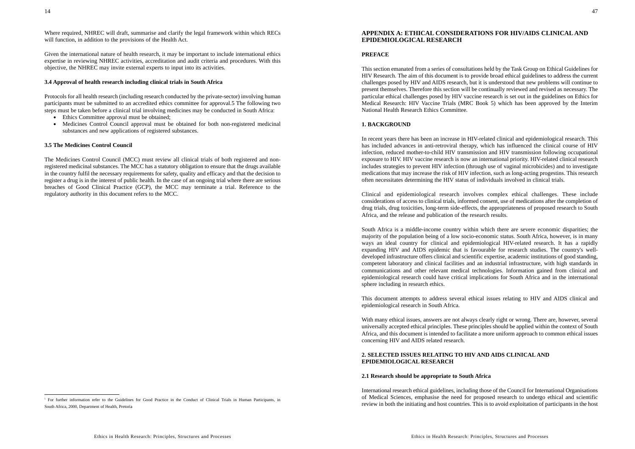Where required, NHREC will draft, summarise and clarify the legal framework within which RECs will function, in addition to the provisions of the Health Act.

Given the international nature of health research, it may be important to include international ethics expertise in reviewing NHREC activities, accreditation and audit criteria and procedures. With this objective, the NHREC may invite external experts to input into its activities.

### **3.4 Approval of health research including clinical trials in South Africa**

Protocols for all health research (including research conducted by the private-sector) involving human participants must be submitted to an accredited ethics committee for approval.5 The following two steps must be taken before a clinical trial involving medicines may be conducted in South Africa:

- Ethics Committee approval must be obtained;
- $\bullet$  Medicines Control Council approval must be obtained for both non-registered medicinal substances and new applications of registered substances.

#### **3.5 The Medicines Control Council**

The Medicines Control Council (MCC) must review all clinical trials of both registered and nonregistered medicinal substances. The MCC has a statutory obligation to ensure that the drugs available in the country fulfil the necessary requirements for safety, quality and efficacy and that the decision to register a drug is in the interest of public health. In the case of an ongoing trial where there are serious breaches of Good Clinical Practice (GCP), the MCC may terminate a trial. Reference to the regulatory authority in this document refers to the MCC.

# **APPENDIX A: ETHICAL CONSIDERATIONS FOR HIV/AIDS CLINICAL ANDEPIDEMIOLOGICAL RESEARCH**

# **PREFACE**

This section emanated from a series of consultations held by the Task Group on Ethical Guidelines for HIV Research. The aim of this document is to provide broad ethical guidelines to address the current challenges posed by HIV and AIDS research, but it is understood that new problems will continue to present themselves. Therefore this section will be continually reviewed and revised as necessary. The particular ethical challenges posed by HIV vaccine research is set out in the guidelines on Ethics for Medical Research: HIV Vaccine Trials (MRC Book 5) which has been approved by the Interim National Health Research Ethics Committee.

#### **1. BACKGROUND**

In recent years there has been an increase in HIV-related clinical and epidemiological research. This has included advances in anti-retroviral therapy, which has influenced the clinical course of HIV infection, reduced mother-to-child HIV transmission and HIV transmission following occupational exposure to HIV. HIV vaccine research is now an international priority. HIV-related clinical research includes strategies to prevent HIV infection (through use of vaginal microbicides) and to investigate medications that may increase the risk of HIV infection, such as long-acting progestins. This research often necessitates determining the HIV status of individuals involved in clinical trials.

Clinical and epidemiological research involves complex ethical challenges. These include considerations of access to clinical trials, informed consent, use of medications after the completion of drug trials, drug toxicities, long-term side-effects, the appropriateness of proposed research to South Africa, and the release and publication of the research results.

South Africa is a middle-income country within which there are severe economic disparities; the majority of the population being of a low socio-economic status. South Africa, however, is in many ways an ideal country for clinical and epidemiological HIV-related research. It has a rapidly expanding HIV and AIDS epidemic that is favourable for research studies. The country's welldeveloped infrastructure offers clinical and scientific expertise, academic institutions of good standing, competent laboratory and clinical facilities and an industrial infrastructure, with high standards in communications and other relevant medical technologies. Information gained from clinical and epidemiological research could have critical implications for South Africa and in the international sphere including in research ethics.

This document attempts to address several ethical issues relating to HIV and AIDS clinical and epidemiological research in South Africa.

With many ethical issues, answers are not always clearly right or wrong. There are, however, several universally accepted ethical principles. These principles should be applied within the context of South Africa, and this document is intended to facilitate a more uniform approach to common ethical issues concerning HIV and AIDS related research.

### **2. SELECTED ISSUES RELATING TO HIV AND AIDS CLINICAL ANDEPIDEMIOLOGICAL RESEARCH**

#### **2.1 Research should be appropriate to South Africa**

International research ethical guidelines, including those of the Council for International Organisations of Medical Sciences, emphasise the need for proposed research to undergo ethical and scientific review in both the initiating and host countries. This is to avoid exploitation of participants in the host

<sup>5</sup> For further information refer to the Guidelines for Good Practice in the Conduct of Clinical Trials in Human Participants, in South Africa, 2000, Department of Health, Pretoria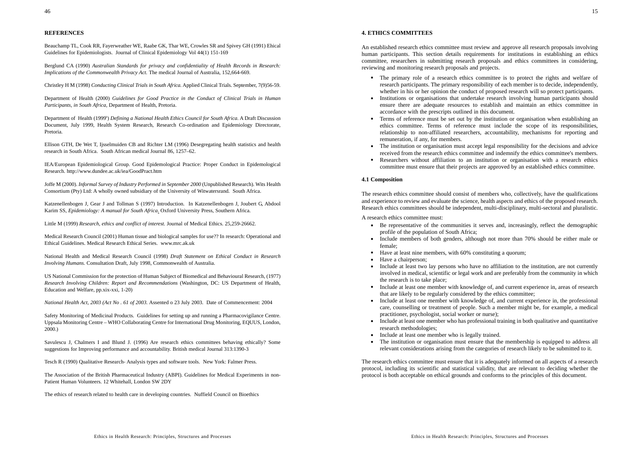# **REFERENCES**

Beauchamp TL, Cook RR, Fayerweather WE, Raabe GK, Thar WE, Crowles SR and Spivey GH (1991) Ehical Guidelines for Epidemiologists. Journal of Clinical Epidemiology Vol 44(1) 151-169

Berglund CA (1990) *Australian Standards for privacy and confidentiality of Health Records in Research: Implications of the Commonwealth Privacy Act.* The medical Journal of Australia, 152,664-669.

Christley H M (1998) *Conducting Clinical Trials in South Africa.* Applied Clinical Trials. September, 7(9)56-59.

Department of Health (2000) *Guidelines for Good Practice in the Conduct of Clinical Trials in Human Participants, in South Africa,* Department of Health, Pretoria.

Department of Health (1999<sup>b</sup>) *Defining a National Health Ethics Council for South Africa.* A Draft Discussion Document, July 1999, Health System Research, Research Co-ordination and Epidemiology Directorate, Pretoria.

Ellison GTH, De Wet T, Ijsselmuiden CB and Richter LM (1996) Desegregating health statistics and health research in South Africa. South African medical Journal 86, 1257–62.

IEA/European Epidemiological Group. Good Epidemological Practice: Proper Conduct in Epidemological Research. http://www.dundee.ac.uk/iea/GoodPract.htm

Joffe M (2000). *Informal Survey of Industry Performed in September 2000* (Unpublished Research). Wits Health Consortium (Pty) Ltd: A wholly owned subsidiary of the University of Witwatersrand. South Africa.

Katzenellenbogen J, Gear J and Tollman S (1997) Introduction. In Katzenellenbogen J, Joubert G, Abdool Karim SS, *Epidemiology: A manual for South Africa*. Oxford University Press, Southern Africa.

Little M (1999) *Research, ethics and conflict of interest.* Journal of Medical Ethics. 25,259-26662.

Medical Research Council (2001) Human tissue and biological samples for use?? In research: Operational and Ethical Guidelines. Medical Research Ethical Series. www.mrc.ak.uk

National Health and Medical Research Council (1998) *Draft Statement on Ethical Conduct in Research Involving Humans.* Consultation Draft, July 1998, Commonwealth of Australia.

US National Commission for the protection of Human Subject of Biomedical and Behavioural Research, (1977) *Research Involving Children: Report and Recommendations* (Washington, DC: US Department of Health, Education and Welfare, pp.xix-xxi, 1-20)

*National Health Act, 2003 (Act No . 61 of 2003.* Assented o 23 July 2003. Date of Commencement: 2004

Safety Monitoring of Medicinal Products. Guidelines for setting up and running a Pharmacovigilance Centre. Uppsala Monitoring Centre – WHO Collaborating Centre for International Drug Monitoring, EQUUS, London, 2000.)

Savulescu J, Chalmers I and Blund J. (1996) Are research ethics committees behaving ethically? Some suggestions for Improving performance and accountability. British medical Journal 313:1390-3

Tesch R (1990) Qualitative Research- Analysis types and software tools. New York: Falmer Press.

The Association of the British Pharmaceutical Industry (ABPI). Guidelines for Medical Experiments in non-Patient Human Volunteers. 12 Whitehall, London SW 2DY

The ethics of research related to health care in developing countries. Nuffield Council on Bioethics

#### **4. ETHICS COMMITTEES**

An established research ethics committee must review and approve all research proposals involving human participants. This section details requirements for institutions in establishing an ethics committee, researchers in submitting research proposals and ethics committees in considering, reviewing and monitoring research proposals and projects.

- The primary role of a research ethics committee is to protect the rights and welfare of research participants. The primary responsibility of each member is to decide, independently, whether in his or her opinion the conduct of proposed research will so protect participants.
- Institutions or organisations that undertake research involving human participants should ensure there are adequate resources to establish and maintain an ethics committee in accordance with the prescripts outlined in this document.
- Terms of reference must be set out by the institution or organisation when establishing an ethics committee. Terms of reference must include the scope of its responsibilities, relationship to non-affiliated researchers, accountability, mechanisms for reporting and remuneration, if any, for members.
- The institution or organisation must accept legal responsibility for the decisions and advice received from the research ethics committee and indemnify the ethics committee's members.
- . Researchers without affiliation to an institution or organisation with a research ethics committee must ensure that their projects are approved by an established ethics committee.

### **4.1 Composition**

The research ethics committee should consist of members who, collectively, have the qualifications and experience to review and evaluate the science, health aspects and ethics of the proposed research. Research ethics committees should be independent, multi-disciplinary, multi-sectoral and pluralistic.

A research ethics committee must:

- Be representative of the communities it serves and, increasingly, reflect the demographic profile of the population of South Africa;
- Include members of both genders, although not more than 70% should be either male or female;
- Have at least nine members, with 60% constituting a quorum;
- Have a chairperson;
- Include at least two lay persons who have no affiliation to the institution, are not currently involved in medical, scientific or legal work and are preferably from the community in which the research is to take place;
- Include at least one member with knowledge of, and current experience in, areas of research that are likely to be regularly considered by the ethics committee;
- Include at least one member with knowledge of, and current experience in, the professional care, counselling or treatment of people. Such a member might be, for example, a medical practitioner, psychologist, social worker or nurse);
- Include at least one member who has professional training in both qualitative and quantitative research methodologies;
- . Include at least one member who is legally trained.
- The institution or organisation must ensure that the membership is equipped to address all relevant considerations arising from the categories of research likely to be submitted to it.

The research ethics committee must ensure that it is adequately informed on all aspects of a research protocol, including its scientific and statistical validity, that are relevant to deciding whether the protocol is both acceptable on ethical grounds and conforms to the principles of this document.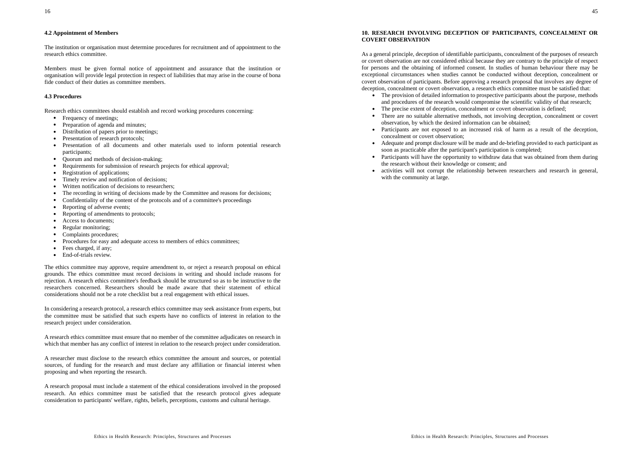# **4.2 Appointment of Members**

The institution or organisation must determine procedures for recruitment and of appointment to the research ethics committee.

Members must be given formal notice of appointment and assurance that the institution or organisation will provide legal protection in respect of liabilities that may arise in the course of bona fide conduct of their duties as committee members.

### **4.3 Procedures**

Research ethics committees should establish and record working procedures concerning:

- Frequency of meetings;
- $\bullet$ Preparation of agenda and minutes;
- . Distribution of papers prior to meetings;
- Presentation of research protocols;
- Presentation of all documents and other materials used to inform potential research participants;
- $\bullet$ Quorum and methods of decision-making;
- . Requirements for submission of research projects for ethical approval;
- ۰ Registration of applications;
- . Timely review and notification of decisions;
- . Written notification of decisions to researchers;
- . The recording in writing of decisions made by the Committee and reasons for decisions;
- $\bullet$ Confidentiality of the content of the protocols and of a committee's proceedings
- $\bullet$ Reporting of adverse events;
- . Reporting of amendments to protocols;
- . Access to documents;
- . Regular monitoring;
- ۰ Complaints procedures;
- . Procedures for easy and adequate access to members of ethics committees;
- $\bullet$ Fees charged, if any;
- $\bullet$ End-of-trials review.

The ethics committee may approve, require amendment to, or reject a research proposal on ethical grounds. The ethics committee must record decisions in writing and should include reasons for rejection. A research ethics committee's feedback should be structured so as to be instructive to the researchers concerned. Researchers should be made aware that their statement of ethicalconsiderations should not be a rote checklist but a real engagement with ethical issues.

In considering a research protocol, a research ethics committee may seek assistance from experts, but the committee must be satisfied that such experts have no conflicts of interest in relation to the research project under consideration.

A research ethics committee must ensure that no member of the committee adjudicates on research in which that member has any conflict of interest in relation to the research project under consideration.

A researcher must disclose to the research ethics committee the amount and sources, or potential sources, of funding for the research and must declare any affiliation or financial interest when proposing and when reporting the research.

A research proposal must include a statement of the ethical considerations involved in the proposed research. An ethics committee must be satisfied that the research protocol gives adequate consideration to participants' welfare, rights, beliefs, perceptions, customs and cultural heritage.

#### **10. RESEARCH INVOLVING DECEPTION OF PARTICIPANTS, CONCEALMENT OR COVERT OBSERVATION**

As a general principle, deception of identifiable participants, concealment of the purposes of research or covert observation are not considered ethical because they are contrary to the principle of respect for persons and the obtaining of informed consent. In studies of human behaviour there may be exceptional circumstances when studies cannot be conducted without deception, concealment or covert observation of participants. Before approving a research proposal that involves any degree of deception, concealment or covert observation, a research ethics committee must be satisfied that:

- The provision of detailed information to prospective participants about the purpose, methods and procedures of the research would compromise the scientific validity of that research;
- . The precise extent of deception, concealment or covert observation is defined;
- There are no suitable alternative methods, not involving deception, concealment or covert observation, by which the desired information can be obtained;
- Participants are not exposed to an increased risk of harm as a result of the deception, concealment or covert observation;
- Adequate and prompt disclosure will be made and de-briefing provided to each participant as soon as practicable after the participant's participation is completed;
- ٠ Participants will have the opportunity to withdraw data that was obtained from them during the research without their knowledge or consent; and
- activities will not corrupt the relationship between researchers and research in general, with the community at large.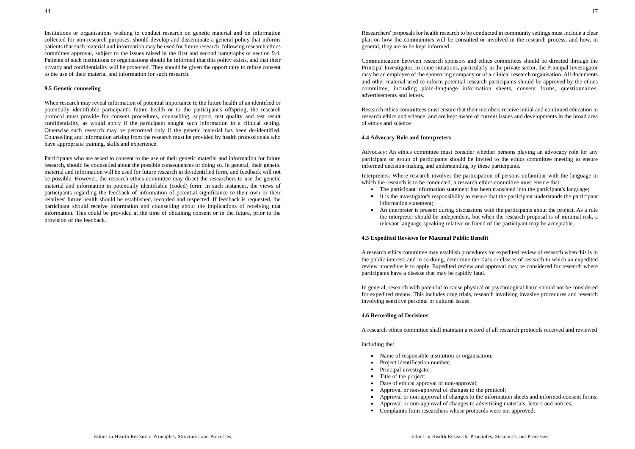Institutions or organisations wishing to conduct research on genetic material and on information collected for non-research purposes, should develop and disseminate a general policy that informs patients that such material and information may be used for future research, following research ethics committee approval, subject to the issues raised in the first and second paragraphs of section 9.4. Patients of such institutions or organisations should be informed that this policy exists, and that their privacy and confidentiality will be protected. They should be given the opportunity to refuse consent to the use of their material and information for such research.

#### **9.5 Genetic counseling**

When research may reveal information of potential importance to the future health of an identified or potentially identifiable participant's future health or to the participant's offspring, the research protocol must provide for consent procedures, counselling, support, test quality and test result confidentiality, as would apply if the participant sought such information in a clinical setting. Otherwise such research may be performed only if the genetic material has been de-identified. Counselling and information arising from the research must be provided by health professionals who have appropriate training, skills and experience.

Participants who are asked to consent to the use of their genetic material and information for future research, should be counselled about the possible consequences of doing so. In general, their genetic material and information will be used for future research in de-identified form, and feedback will not be possible. However, the research ethics committee may direct the researchers to use the genetic material and information in potentially identifiable (coded) form. In such instances, the views of participants regarding the feedback of information of potential significance to their own or their relatives' future health should be established, recorded and respected. If feedback is requested, the participant should receive information and counselling about the implications of receiving that information. This could be provided at the time of obtaining consent or in the future, prior to the provision of the feedback.

Communication between research sponsors and ethics committees should be directed through the Principal Investigator. In some situations, particularly in the private sector, the Principal Investigator may be an employee of the sponsoring company or of a clinical research organisation. All documents and other material used to inform potential research participants should be approved by the ethics committee, including plain-language information sheets, consent forms, questionnaires, advertisements and letters.

Research ethics committees must ensure that their members receive initial and continued education inresearch ethics and science, and are kept aware of current issues and developments in the broad area of ethics and science

#### **4.4 Advocacy Role and Interpreters**

Advocacy: An ethics committee must consider whether persons playing an advocacy role for any participant or group of participants should be invited to the ethics committee meeting to ensure informed decision-making and understanding by these participants.

Interpreters: Where research involves the participation of persons unfamiliar with the language in which the research is to be conducted, a research ethics committee must ensure that:

- The participant information statement has been translated into the participant's language;
- It is the investigator's responsibility to ensure that the participant understands the participant information statement;
- An interpreter is present during discussions with the participants about the project. As a rule the interpreter should be independent, but when the research proposal is of minimal risk, a relevant language-speaking relative or friend of the participant may be acceptable.

#### **4.5 Expedited Reviews for Maximal Public Benefit**

A research ethics committee may establish procedures for expedited review of research when this is in the public interest, and in so doing, determine the class or classes of research to which an expedited review procedure is to apply. Expedited review and approval may be considered for research where participants have a disease that may be rapidly fatal.

In general, research with potential to cause physical or psychological harm should not be considered for expedited review. This includes drug trials, research involving invasive procedures and research involving sensitive personal or cultural issues.

### **4.6 Recording of Decisions**

A research ethics committee shall maintain a record of all research protocols received and reviewed

#### including the:

- Name of responsible institution or organisation;
- Project identification number;
- Principal investigator;
- Title of the project;
- Date of ethical approval or non-approval;
- Approval or non-approval of changes to the protocol;
- Approval or non-approval of changes to the information sheets and informed-consent forms;
- Approval or non-approval of changes to advertising materials, letters and notices;
- Complaints from researchers whose protocols were not approved;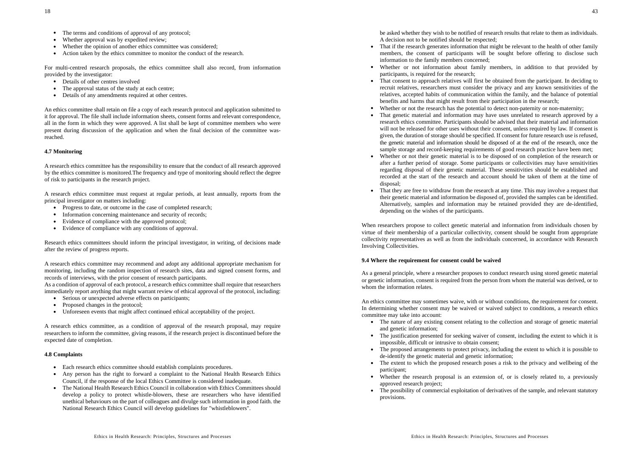- The terms and conditions of approval of any protocol;
- $\bullet$ Whether approval was by expedited review;
- $\bullet$ Whether the opinion of another ethics committee was considered;
- Action taken by the ethics committee to monitor the conduct of the research.

For multi-centred research proposals, the ethics committee shall also record, from information provided by the investigator:

- Details of other centres involved
- The approval status of the study at each centre;
- Details of any amendments required at other centres.

An ethics committee shall retain on file a copy of each research protocol and application submitted to it for approval. The file shall include information sheets, consent forms and relevant correspondence, all in the form in which they were approved. A list shall be kept of committee members who were present during discussion of the application and when the final decision of the committee wasreached.

# **4.7 Monitoring**

A research ethics committee has the responsibility to ensure that the conduct of all research approved by the ethics committee is monitored.The frequency and type of monitoring should reflect the degree of risk to participants in the research project.

A research ethics committee must request at regular periods, at least annually, reports from the principal investigator on matters including:

- Progress to date, or outcome in the case of completed research;
- Information concerning maintenance and security of records;
- Evidence of compliance with the approved protocol;
- Evidence of compliance with any conditions of approval.

Research ethics committees should inform the principal investigator, in writing, of decisions made after the review of progress reports.

A research ethics committee may recommend and adopt any additional appropriate mechanism for monitoring, including the random inspection of research sites, data and signed consent forms, and records of interviews, with the prior consent of research participants.

As a condition of approval of each protocol, a research ethics committee shall require that researchers immediately report anything that might warrant review of ethical approval of the protocol, including:

- Serious or unexpected adverse effects on participants;
- Proposed changes in the protocol;
- Unforeseen events that might affect continued ethical acceptability of the project.

A research ethics committee, as a condition of approval of the research proposal, may require researchers to inform the committee, giving reasons, if the research project is discontinued before the expected date of completion.

### **4.8 Complaints**

- Each research ethics committee should establish complaints procedures.
- Any person has the right to forward a complaint to the National Health Research Ethics Council, if the response of the local Ethics Committee is considered inadequate.
- The National Health Research Ethics Council in collaboration with Ethics Committees shoulddevelop a policy to protect whistle-blowers, these are researchers who have identified unethical behaviours on the part of colleagues and divulge such information in good faith. the National Research Ethics Council will develop guidelines for "whistleblowers".

be asked whether they wish to be notified of research results that relate to them as individuals. A decision not to be notified should be respected;

- That if the research generates information that might be relevant to the health of other family members, the consent of participants will be sought before offering to disclose such information to the family members concerned;
- . Whether or not information about family members, in addition to that provided by participants, is required for the research;
- That consent to approach relatives will first be obtained from the participant. In deciding to recruit relatives, researchers must consider the privacy and any known sensitivities of the relatives, accepted habits of communication within the family, and the balance of potential benefits and harms that might result from their participation in the research;
- ۰ Whether or not the research has the potential to detect non-paternity or non-maternity;
- . That genetic material and information may have uses unrelated to research approved by a research ethics committee. Participants should be advised that their material and information will not be released for other uses without their consent, unless required by law. If consent is given, the duration of storage should be specified. If consent for future research use is refused, the genetic material and information should be disposed of at the end of the research, once the sample storage and record-keeping requirements of good research practice have been met;
- . Whether or not their genetic material is to be disposed of on completion of the research or after a further period of storage. Some participants or collectivities may have sensitivities regarding disposal of their genetic material. These sensitivities should be established and recorded at the start of the research and account should be taken of them at the time ofdisposal;
- . That they are free to withdraw from the research at any time. This may involve a request that their genetic material and information be disposed of, provided the samples can be identified. Alternatively, samples and information may be retained provided they are de-identified, depending on the wishes of the participants.

When researchers propose to collect genetic material and information from individuals chosen by virtue of their membership of a particular collectivity, consent should be sought from appropriate collectivity representatives as well as from the individuals concerned, in accordance with Research Involving Collectivities.

### **9.4 Where the requirement for consent could be waived**

As a general principle, where a researcher proposes to conduct research using stored genetic material or genetic information, consent is required from the person from whom the material was derived, or to whom the information relates.

An ethics committee may sometimes waive, with or without conditions, the requirement for consent. In determining whether consent may be waived or waived subject to conditions, a research ethics committee may take into account:

- The nature of any existing consent relating to the collection and storage of genetic material and genetic information;
- The justification presented for seeking waiver of consent, including the extent to which it is impossible, difficult or intrusive to obtain consent;
- The proposed arrangements to protect privacy, including the extent to which it is possible to de-identify the genetic material and genetic information;
- The extent to which the proposed research poses a risk to the privacy and wellbeing of the participant;
- Whether the research proposal is an extension of, or is closely related to, a previously approved research project;
- The possibility of commercial exploitation of derivatives of the sample, and relevant statutory provisions.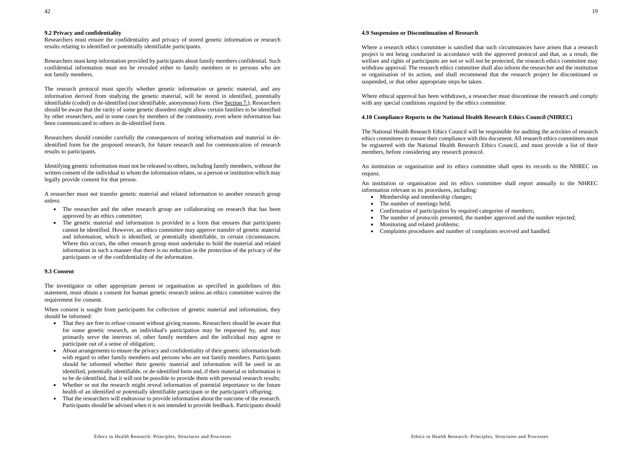# **9.2 Privacy and confidentiality**

Researchers must ensure the confidentiality and privacy of stored genetic information or research results relating to identified or potentially identifiable participants.

Researchers must keep information provided by participants about family members confidential. Such confidential information must not be revealed either to family members or to persons who are not family members.

The research protocol must specify whether genetic information or genetic material, and any information derived from studying the genetic material, will be stored in identified, potentially identifiable (coded) or de-identified (not identifiable, anonymous) form. (See Section 7.). Researchers should be aware that the rarity of some genetic disorders might allow certain families to be identified by other researchers, and in some cases by members of the community, even where information has been communicated to others in de-identified form.

Researchers should consider carefully the consequences of storing information and material in deidentified form for the proposed research, for future research and for communication of research results to participants.

Identifying genetic information must not be released to others, including family members, without the written consent of the individual to whom the information relates, or a person or institution which may legally provide consent for that person.

A researcher must not transfer genetic material and related information to another research group unless:

- ۰ The researcher and the other research group are collaborating on research that has been approved by an ethics committee;
- The genetic material and information is provided in a form that ensures that participants cannot be identified. However, an ethics committee may approve transfer of genetic material and information, which is identified, or potentially identifiable, in certain circumstances. Where this occurs, the other research group must undertake to hold the material and related information in such a manner that there is no reduction in the protection of the privacy of the participants or of the confidentiality of the information.

#### **9.3 Consent**

The investigator or other appropriate person or organisation as specified in guidelines of this statement, must obtain a consent for human genetic research unless an ethics committee waives the requirement for consent.

When consent is sought from participants for collection of genetic material and information, they should be informed:

- That they are free to refuse consent without giving reasons. Researchers should be aware that for some genetic research, an individual's participation may be requested by, and may primarily serve the interests of, other family members and the individual may agree to participate out of a sense of obligation;
- ۰ About arrangements to ensure the privacy and confidentiality of their genetic information both with regard to other family members and persons who are not family members. Participants should be informed whether their genetic material and information will be used in an identified, potentially identifiable, or de-identified form and, if their material or information is to be de-identified, that it will not be possible to provide them with personal research results;
- Whether or not the research might reveal information of potential importance to the future health of an identified or potentially identifiable participant or the participant's offspring;
- That the researchers will endeavour to provide information about the outcome of the research. Participants should be advised when it is not intended to provide feedback. Participants should

### **4.9 Suspension or Discontinuation of Research**

Where a research ethics committee is satisfied that such circumstances have arisen that a research project is not being conducted in accordance with the approved protocol and that, as a result, the welfare and rights of participants are not or will not be protected, the research ethics committee may withdraw approval. The research ethics committee shall also inform the researcher and the institution or organisation of its action, and shall recommend that the research project be discontinued or suspended, or that other appropriate steps be taken.

Where ethical approval has been withdrawn, a researcher must discontinue the research and comply with any special conditions required by the ethics committee.

### **4.10 Compliance Reports to the National Health Research Ethics Council (NHREC)**

The National Health Research Ethics Council will be responsible for auditing the activities of research ethics committees to ensure their compliance with this document. All research ethics committees must be registered with the National Health Research Ethics Council, and must provide a list of their members, before considering any research protocol.

An institution or organisation and its ethics committee shall open its records to the NHREC on request.

An institution or organisation and its ethics committee shall report annually to the NHREC information relevant to its procedures, including:

- Membership and membership changes;
- The number of meetings held;
- . Confirmation of participation by required categories of members;
- . The number of protocols presented, the number approved and the number rejected;
- Monitoring and related problems;
- Complaints procedures and number of complaints received and handled.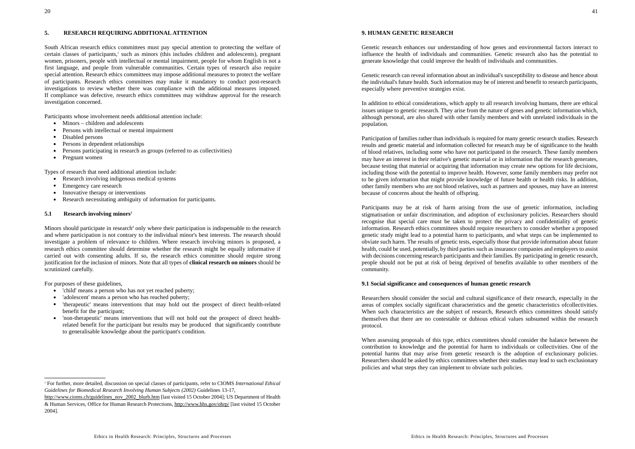### **5. RESEARCH REQUIRING ADDITIONAL ATTENTION**

South African research ethics committees must pay special attention to protecting the welfare of certain classes of participants,<sup>1</sup> such as minors (this includes children and adolescents), pregnant women, prisoners, people with intellectual or mental impairment, people for whom English is not a first language, and people from vulnerable communities. Certain types of research also require special attention. Research ethics committees may impose additional measures to protect the welfare of participants. Research ethics committees may make it mandatory to conduct post-research investigations to review whether there was compliance with the additional measures imposed. If compliance was defective, research ethics committees may withdraw approval for the research investigation concerned.

Participants whose involvement needs additional attention include:

- Minors children and adolescents
- Persons with intellectual or mental impairment
- Disabled persons
- Persons in dependent relationships
- Persons participating in research as groups (referred to as collectivities)
- Pregnant women

Types of research that need additional attention include:

- . Research involving indigenous medical systems
- $\bullet$ Emergency care research
- $\bullet$ Innovative therapy or interventions
- Research necessitating ambiguity of information for participants.

#### **5.1 Research involving minors<sup>2</sup>**

Minors should participate in research<sup>4</sup> only where their participation is indispensable to the research and where participation is not contrary to the individual minor's best interests. The research should investigate a problem of relevance to children. Where research involving minors is proposed, a research ethics committee should determine whether the research might be equally informative if carried out with consenting adults. If so, the research ethics committee should require strong justification for the inclusion of minors. Note that all types of **clinical research on minors** should be scrutinized carefully.

For purposes of these guidelines,

- 'child' means a person who has not yet reached puberty;
- 'adolescent' means a person who has reached puberty;
- $\bullet$  'therapeutic' means interventions that may hold out the prospect of direct health-related benefit for the participant;
- 'non-therapeutic' means interventions that will not hold out the prospect of direct healthrelated benefit for the participant but results may be produced that significantly contribute to generalisable knowledge about the participant's condition.

Genetic research enhances our understanding of how genes and environmental factors interact to influence the health of individuals and communities. Genetic research also has the potential to generate knowledge that could improve the health of individuals and communities.

Genetic research can reveal information about an individual's susceptibility to disease and hence about the individual's future health. Such information may be of interest and benefit to research participants, especially where preventive strategies exist.

In addition to ethical considerations, which apply to all research involving humans, there are ethical issues unique to genetic research. They arise from the nature of genes and genetic information which, although personal, are also shared with other family members and with unrelated individuals in the population.

Participation of families rather than individuals is required for many genetic research studies. Research results and genetic material and information collected for research may be of significance to the health of blood relatives, including some who have not participated in the research. These family members may have an interest in their relative's genetic material or in information that the research generates, because testing that material or acquiring that information may create new options for life decisions, including those with the potential to improve health. However, some family members may prefer not to be given information that might provide knowledge of future health or health risks. In addition, other family members who are not blood relatives, such as partners and spouses, may have an interest because of concerns about the health of offspring.

Participants may be at risk of harm arising from the use of genetic information, including stigmatisation or unfair discrimination, and adoption of exclusionary policies. Researchers should recognise that special care must be taken to protect the privacy and confidentiality of genetic information. Research ethics committees should require researchers to consider whether a proposed genetic study might lead to a potential harm to participants, and what steps can be implemented to obviate such harm. The results of genetic tests, especially those that provide information about future health, could be used, potentially, by third parties such as insurance companies and employers to assist with decisions concerning research participants and their families. By participating in genetic research, people should not be put at risk of being deprived of benefits available to other members of the community.

# **9.1 Social significance and consequences of human genetic research**

Researchers should consider the social and cultural significance of their research, especially in the areas of complex socially significant characteristics and the genetic characteristics ofcollectivities. When such characteristics are the subject of research, Research ethics committees should satisfy themselves that there are no contestable or dubious ethical values subsumed within the research protocol.

When assessing proposals of this type, ethics committees should consider the balance between the contribution to knowledge and the potential for harm to individuals or collectivities. One of the potential harms that may arise from genetic research is the adoption of exclusionary policies. Researchers should be asked by ethics committees whether their studies may lead to such exclusionary policies and what steps they can implement to obviate such policies.

<sup>1</sup> For further, more detailed, discussion on special classes of participants, refer to CIOMS *International Ethical Guidelines for Biomedical Research Involving Human Subjects (2002)* Guidelines 13-17,

http://www.cioms.ch/guidelines\_nov\_2002\_blurb.htm [last visited 15 October 2004]; US Department of Health & Human Services, Office for Human Research Protections, http://www.hhs.gov/ohrp/ [last visited 15 October 2004].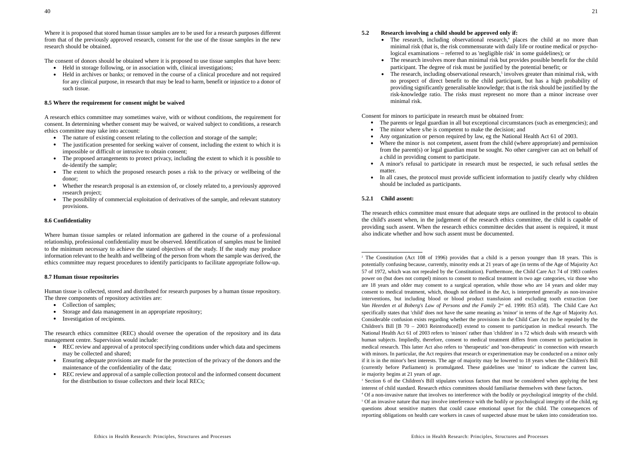Where it is proposed that stored human tissue samples are to be used for a research purposes different from that of the previously approved research, consent for the use of the tissue samples in the new research should be obtained.

The consent of donors should be obtained where it is proposed to use tissue samples that have been:

- Held in storage following, or in association with, clinical investigations;
- Held in archives or banks; or removed in the course of a clinical procedure and not required for any clinical purpose, in research that may be lead to harm, benefit or injustice to a donor of such tissue.

#### **8.5 Where the requirement for consent might be waived**

A research ethics committee may sometimes waive, with or without conditions, the requirement for consent. In determining whether consent may be waived, or waived subject to conditions, a research ethics committee may take into account:

- The nature of existing consent relating to the collection and storage of the sample;
- The justification presented for seeking waiver of consent, including the extent to which it is impossible or difficult or intrusive to obtain consent;
- The proposed arrangements to protect privacy, including the extent to which it is possible to de-identify the sample;
- The extent to which the proposed research poses a risk to the privacy or wellbeing of the donor;
- $\bullet$  Whether the research proposal is an extension of, or closely related to, a previously approved research project;
- The possibility of commercial exploitation of derivatives of the sample, and relevant statutory provisions.

#### **8.6 Confidentiality**

Where human tissue samples or related information are gathered in the course of a professional relationship, professional confidentiality must be observed. Identification of samples must be limited to the minimum necessary to achieve the stated objectives of the study. If the study may produce information relevant to the health and wellbeing of the person from whom the sample was derived, the ethics committee may request procedures to identify participants to facilitate appropriate follow-up.

#### **8.7 Human tissue repositories**

Human tissue is collected, stored and distributed for research purposes by a human tissue repository. The three components of repository activities are:

- Collection of samples;
- Storage and data management in an appropriate repository;
- Investigation of recipients.

The research ethics committee (REC) should oversee the operation of the repository and its data management centre. Supervision would include:

- REC review and approval of a protocol specifying conditions under which data and specimens may be collected and shared;
- Ensuring adequate provisions are made for the protection of the privacy of the donors and the maintenance of the confidentiality of the data;
- REC review and approval of a sample collection protocol and the informed consent document for the distribution to tissue collectors and their local RECs;

#### **5.2 Research involving a child should be approved only if:**

- The research, including observational research,<sup>4</sup> places the child at no more than minimal risk (that is, the risk commensurate with daily life or routine medical or psychological examinations – referred to as 'negligible risk' in some guidelines); or
- The research involves more than minimal risk but provides possible benefit for the child participant. The degree of risk must be justified by the potential benefit; or
- The research, including observational research,<sup>5</sup> involves greater than minimal risk, with no prospect of direct benefit to the child participant, but has a high probability of providing significantly generalisable knowledge; that is the risk should be justified by the risk-knowledge ratio. The risks must represent no more than a minor increase over minimal risk.

Consent for minors to participate in research must be obtained from:

- The parents or legal guardian in all but exceptional circumstances (such as emergencies); and
- The minor where s/he is competent to make the decision; and
- Any organization or person required by law, eg the National Health Act 61 of 2003.
- Where the minor is not competent, assent from the child (where appropriate) and permission from the parent(s) or legal guardian must be sought. No other caregiver can act on behalf of a child in providing consent to participate.
- A minor's refusal to participate in research must be respected, ie such refusal settles the matter.
- In all cases, the protocol must provide sufficient information to justify clearly why children should be included as participants.

#### **5.2.1 Child assent:**

The research ethics committee must ensure that adequate steps are outlined in the protocol to obtain the child's assent when, in the judgement of the research ethics committee, the child is capable of providing such assent. When the research ethics committee decides that assent is required, it must also indicate whether and how such assent must be documented.

2 The Constitution (Act 108 of 1996) provides that a child is a person younger than 18 years. This is potentially confusing because, currently, minority ends at 21 years of age (in terms of the Age of Majority Act 57 of 1972, which was not repealed by the Constitution). Furthermore, the Child Care Act 74 of 1983 confers power on (but does not compel) minors to consent to medical treatment in two age categories, viz those who are 18 years and older may consent to a surgical operation, while those who are 14 years and older may consent to medical treatment, which, though not defined in the Act, is interpreted generally as non-invasive interventions, but including blood or blood product transfusion and excluding tooth extraction (see Van Heerden et al Boberg's Law of Persons and the Family 2<sup>nd</sup> ed. 1999: 853 n58). The Child Care Act specifically states that 'child' does not have the same meaning as 'minor' in terms of the Age of Majority Act. Considerable confusion exists regarding whether the provisions in the Child Care Act (to be repealed by the Children's Bill [B 70 – 2003 Reintroduced]) extend to consent to participation in medical research. The National Health Act 61 of 2003 refers to 'minors' rather than 'children' in s 72 which deals with research withhuman subjects. Impliedly, therefore, consent to medical treatment differs from consent to participation in medical research. This latter Act also refers to 'therapeutic' and 'non-therapeutic' in connection with research with minors. In particular, the Act requires that research or experimentation may be conducted on a minor only if it is in the minor's best interests. The age of majority may be lowered to 18 years when the Children's Bill (currently before Parliament) is promulgated. These guidelines use 'minor' to indicate the current law, ie majority begins at 21 years of age.

<sup>3</sup> Section 6 of the Children's Bill stipulates various factors that must be considered when applying the best interest of child standard. Research ethics committees should familiarise themselves with these factors.

<sup>4</sup> Of a non-invasive nature that involves no interference with the bodily or psychological integrity of the child. 5 Of an invasive nature that may involve interference with the bodily or psychological integrity of the child, eg questions about sensitive matters that could cause emotional upset for the child. The consequences of reporting obligations on health care workers in cases of suspected abuse must be taken into consideration too.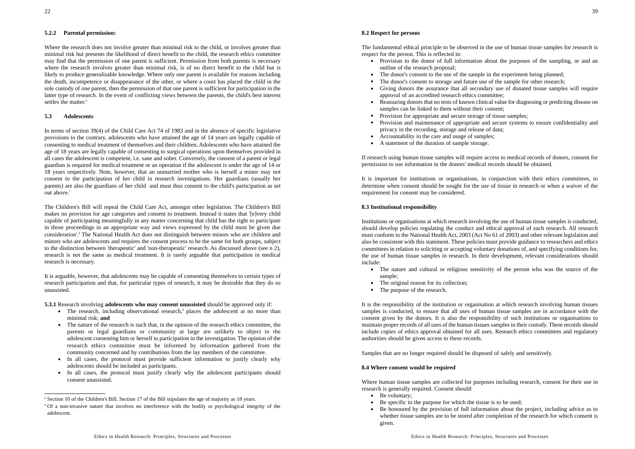### **5.2.2 Parental permission:**

Where the research does not involve greater than minimal risk to the child, or involves greater than minimal risk but presents the likelihood of direct benefit to the child, the research ethics committee may find that the permission of one parent is sufficient. Permission from both parents is necessary where the research involves greater than minimal risk, is of no direct benefit to the child but is likely to produce generalisable knowledge. Where only one parent is available for reasons including the death, incompetence or disappearance of the other, or where a court has placed the child in the sole custody of one parent, then the permission of that one parent is sufficient for participation in the latter type of research. In the event of conflicting views between the parents, the child's best interest settles the matter.<sup>6</sup>

### **5.3 Adolescents**

In terms of section 39(4) of the Child Care Act 74 of 1983 and in the absence of specific legislative provisions to the contrary, adolescents who have attained the age of 14 years are legally capable of consenting to medical treatment of themselves and their children. Adolescents who have attained the age of 18 years are legally capable of consenting to surgical operations upon themselves provided in all cases the adolescent is competent, i.e. sane and sober. Conversely, the consent of a parent or legal guardian is required for medical treatment or an operation if the adolescent is under the age of 14 or 18 years respectively. Note, however, that an unmarried mother who is herself a minor may not consent to the participation of her child in research investigations. Her guardians (usually her parents) are also the guardians of her child and must thus consent to the child's participation as set out above.7

The Children's Bill will repeal the Child Care Act, amongst other legislation. The Children's Bill makes no provision for age categories and consent to treatment. Instead it states that '[e]very child capable of participating meaningfully in any matter concerning that child has the right to participate in those proceedings in an appropriate way and views expressed by the child must be given due consideration'.8 The National Health Act does not distinguish between minors who are children and minors who are adolescents and requires the consent process to be the same for both groups, subject to the distinction between 'therapeutic' and 'non-therapeutic' research. As discussed above (see n 2), research is not the same as medical treatment. It is rarely arguable that participation in medical research is necessary.

It is arguable, however, that adolescents may be capable of consenting themselves to certain types of research participation and that, for particular types of research, it may be desirable that they do so unassisted.

**5.3.1** Research involving **adolescents who may consent unassisted** should be approved only if:

- The research, including observational research,<sup>9</sup> places the adolescent at no more than minimal risk; **and**
- The nature of the research is such that, in the opinion of the research ethics committee, the parents or legal guardians or community at large are unlikely to object to the adolescent consenting him or herself to participation in the investigation. The opinion of the research ethics committee must be informed by information gathered from the community concerned and by contributions from the lay members of the committee.
- In all cases, the protocol must provide sufficient information to justify clearly why adolescents should be included as participants.
- In all cases, the protocol must justify clearly why the adolescent participants should consent unassisted.

The fundamental ethical principle to be observed in the use of human tissue samples for research is respect for the person. This is reflected in:

- Provision to the donor of full information about the purposes of the sampling, or and an outline of the research proposal;
- The donor's consent to the use of the sample in the experiment being planned;
- The donor's consent to storage and future use of the sample for other research;
- Giving donors the assurance that all secondary use of donated tissue samples will require approval of an accredited research ethics committee;
- . Reassuring donors that no tests of known clinical value for diagnosing or predicting disease on samples can be linked to them without their consent;
- Provision for appropriate and secure storage of tissue samples;
- Provision and maintenance of appropriate and secure systems to ensure confidentiality and privacy in the recording, storage and release of data;
- Accountability in the care and usage of samples;
- A statement of the duration of sample storage.

If research using human tissue samples will require access to medical records of donors, consent for permission to use information in the donors' medical records should be obtained.

It is important for institutions or organisations, in conjunction with their ethics committees, to determine when consent should be sought for the use of tissue in research or when a waiver of the requirement for consent may be considered.

#### **8.3 Institutional responsibility**

Institutions or organisations at which research involving the use of human tissue samples is conducted, should develop policies regulating the conduct and ethical approval of such research. All research must conform to the National Health Act, 2003 (Act No 61 of 2003) and other relevant legislation and also be consistent with this statement. These policies must provide guidance to researchers and ethics committees in relation to soliciting or accepting voluntary donations of, and specifying conditions for, the use of human tissue samples in research. In their development, relevant considerations should include:

- The nature and cultural or religious sensitivity of the person who was the source of the sample;
- The original reason for its collection;
- The purpose of the research.

It is the responsibility of the institution or organisation at which research involving human tissues samples is conducted, to ensure that all uses of human tissue samples are in accordance with the consent given by the donors. It is also the responsibility of such institutions or organisations to maintain proper records of all uses of the human tissues samples in their custody. These records should include copies of ethics approval obtained for all uses. Research ethics committees and regulatory authorities should be given access to these records.

Samples that are no longer required should be disposed of safely and sensitively.

#### **8.4 Where consent would be required**

Where human tissue samples are collected for purposes including research, consent for their use in research is generally required. Consent should:

- Be voluntary;
- . Be specific to the purpose for which the tissue is to be used;
- Be honoured by the provision of full information about the project, including advice as to whether tissue samples are to be stored after completion of the research for which consent is given.

<sup>8</sup> Section 10 of the Children's Bill. Section 17 of the Bill stipulates the age of majority as 18 years.

<sup>9</sup> Of a non-invasive nature that involves no interference with the bodily or psychological integrity of the adolescent.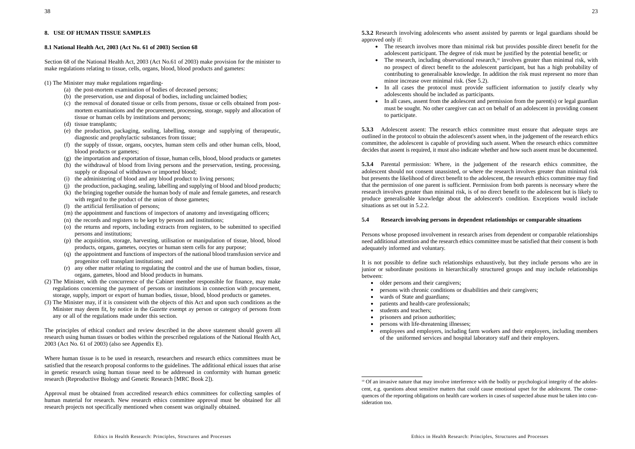# **8.1 National Health Act, 2003 (Act No. 61 of 2003) Section 68**

Section 68 of the National Health Act, 2003 (Act No.61 of 2003) make provision for the minister to make regulations relating to tissue, cells, organs, blood, blood products and gametes:

(1) The Minister may make regulations regarding-

- (a) the post-mortem examination of bodies of deceased persons;
- (b) the preservation, use and disposal of bodies, including unclaimed bodies;
- (c) the removal of donated tissue or cells from persons, tissue or cells obtained from postmortem examinations and the procurement, processing, storage, supply and allocation of tissue or human cells by institutions and persons;
- (d) tissue transplants:
- (e) the production, packaging, sealing, labelling, storage and supplying of therapeutic, diagnostic and prophylactic substances from tissue;
- (f) the supply of tissue, organs, oocytes, human stem cells and other human cells, blood, blood products or gametes;
- (g) the importation and exportation of tissue, human cells, blood, blood products or gametes
- (h) the withdrawal of blood from living persons and the preservation, testing, processing, supply or disposal of withdrawn or imported blood;
- (i) the administering of blood and any blood product to living persons;
- (j) the production, packaging, sealing, labelling and supplying of blood and blood products;
- (k) the bringing together outside the human body of male and female gametes, and research with regard to the product of the union of those gametes;
- (l) the artificial fertilisation of persons;
- (m) the appointment and functions of inspectors of anatomy and investigating officers;
- (n) the records and registers to be kept by persons and institutions;
- (o) the returns and reports, including extracts from registers, to be submitted to specified persons and institutions;
- (p) the acquisition, storage, harvesting, utilisation or manipulation of tissue, blood, blood products, organs, gametes, oocytes or human stem cells for any purpose;
- (q) the appointment and functions of inspectors of the national blood transfusion service and progenitor cell transplant institutions; and
- (r) any other matter relating to regulating the control and the use of human bodies, tissue, organs, gametes, blood and blood products in humans.
- (2) The Minister, with the concurrence of the Cabinet member responsible for finance, may make regulations concerning the payment of persons or institutions in connection with procurement, storage, supply, import or export of human bodies, tissue, blood, blood products or gametes.
- (3) The Minister may, if it is consistent with the objects of this Act and upon such conditions as the Minister may deem fit, by notice in the *Gazette* exempt ay person or category of persons from any or all of the regulations made under this section.

The principles of ethical conduct and review described in the above statement should govern all research using human tissues or bodies within the prescribed regulations of the National Health Act, 2003 (Act No. 61 of 2003) (also see Appendix E).

Where human tissue is to be used in research, researchers and research ethics committees must be satisfied that the research proposal conforms to the guidelines. The additional ethical issues that arise in genetic research using human tissue need to be addressed in conformity with human genetic research (Reproductive Biology and Genetic Research [MRC Book 2]).

Approval must be obtained from accredited research ethics committees for collecting samples of human material for research. New research ethics committee approval must be obtained for all research projects not specifically mentioned when consent was originally obtained.

**5.3.2** Research involving adolescents who assent assisted by parents or legal guardians should be approved only if:

- The research involves more than minimal risk but provides possible direct benefit for the adolescent participant. The degree of risk must be justified by the potential benefit; or
- The research, including observational research,<sup>10</sup> involves greater than minimal risk, with no prospect of direct benefit to the adolescent participant, but has a high probability of contributing to generalisable knowledge. In addition the risk must represent no more than minor increase over minimal risk. (See 5.2).
- In all cases the protocol must provide sufficient information to justify clearly why adolescents should be included as participants.
- In all cases, assent from the adolescent and permission from the parent(s) or legal guardian must be sought. No other caregiver can act on behalf of an adolescent in providing consent to participate.

**5.3.3** Adolescent assent: The research ethics committee must ensure that adequate steps are outlined in the protocol to obtain the adolescent's assent when, in the judgement of the research ethics committee, the adolescent is capable of providing such assent. When the research ethics committee decides that assent is required, it must also indicate whether and how such assent must be documented.

**5.3.4** Parental permission: Where, in the judgement of the research ethics committee, the adolescent should not consent unassisted, or where the research involves greater than minimal risk but presents the likelihood of direct benefit to the adolescent, the research ethics committee may find that the permission of one parent is sufficient. Permission from both parents is necessary where the research involves greater than minimal risk, is of no direct benefit to the adolescent but is likely to produce generalisable knowledge about the adolescent's condition. Exceptions would include situations as set out in 5.2.2.

# **5.4 Research involving persons in dependent relationships or comparable situations**

Persons whose proposed involvement in research arises from dependent or comparable relationships need additional attention and the research ethics committee must be satisfied that their consent is both adequately informed and voluntary.

It is not possible to define such relationships exhaustively, but they include persons who are in junior or subordinate positions in hierarchically structured groups and may include relationships between:

- older persons and their caregivers;
- persons with chronic conditions or disabilities and their caregivers;
- . wards of State and guardians;
- . patients and health-care professionals;
- students and teachers;
- ۰ prisoners and prison authorities;
- . persons with life-threatening illnesses;
- employees and employers, including farm workers and their employers, including members of the uniformed services and hospital laboratory staff and their employers.

<sup>10</sup> Of an invasive nature that may involve interference with the bodily or psychological integrity of the adolescent, e.g. questions about sensitive matters that could cause emotional upset for the adolescent. The consequences of the reporting obligations on health care workers in cases of suspected abuse must be taken into consideration too.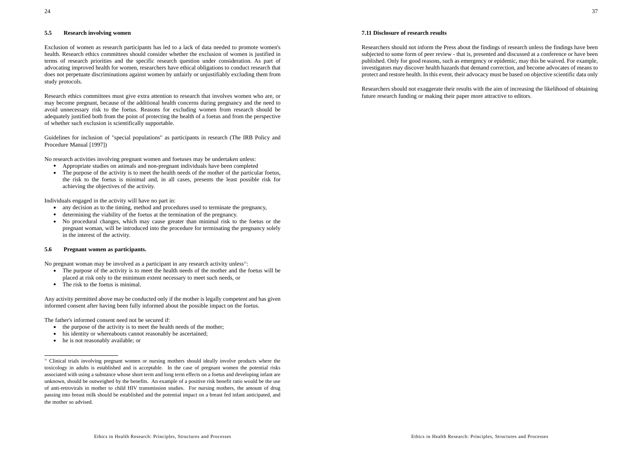24

### **5.5 Research involving women**

Exclusion of women as research participants has led to a lack of data needed to promote women's health. Research ethics committees should consider whether the exclusion of women is justified in terms of research priorities and the specific research question under consideration. As part of advocating improved health for women, researchers have ethical obligations to conduct research that does not perpetuate discriminations against women by unfairly or unjustifiably excluding them from study protocols.

Research ethics committees must give extra attention to research that involves women who are, or may become pregnant, because of the additional health concerns during pregnancy and the need to avoid unnecessary risk to the foetus. Reasons for excluding women from research should be adequately justified both from the point of protecting the health of a foetus and from the perspective of whether such exclusion is scientifically supportable.

Guidelines for inclusion of "special populations" as participants in research (The IRB Policy and Procedure Manual [1997])

No research activities involving pregnant women and foetuses may be undertaken unless:

- Appropriate studies on animals and non-pregnant individuals have been completed
- The purpose of the activity is to meet the health needs of the mother of the particular foetus, the risk to the foetus is minimal and, in all cases, presents the least possible risk for achieving the objectives of the activity.

Individuals engaged in the activity will have no part in:

- . any decision as to the timing, method and procedures used to terminate the pregnancy,
- $\bullet$ determining the viability of the foetus at the termination of the pregnancy.
- No procedural changes, which may cause greater than minimal risk to the foetus or the pregnant woman, will be introduced into the procedure for terminating the pregnancy solely in the interest of the activity.

### **5.6 Pregnant women as participants.**

No pregnant woman may be involved as a participant in any research activity unless<sup>11</sup>:

- The purpose of the activity is to meet the health needs of the mother and the foetus will be placed at risk only to the minimum extent necessary to meet such needs, or
- The risk to the foetus is minimal.

Any activity permitted above may be conducted only if the mother is legally competent and has given informed consent after having been fully informed about the possible impact on the foetus.

The father's informed consent need not be secured if:

- . the purpose of the activity is to meet the health needs of the mother;
- his identity or whereabouts cannot reasonably be ascertained;
- he is not reasonably available; or

#### **7.11 Disclosure of research results**

Researchers should not inform the Press about the findings of research unless the findings have been subjected to some form of peer review - that is, presented and discussed at a conference or have been published. Only for good reasons, such as emergency or epidemic, may this be waived. For example, investigators may discover health hazards that demand correction, and become advocates of means to protect and restore health. In this event, their advocacy must be based on objective scientific data only

Researchers should not exaggerate their results with the aim of increasing the likelihood of obtaining future research funding or making their paper more attractive to editors.

<sup>11</sup> Clinical trials involving pregnant women or nursing mothers should ideally involve products where the toxicology in adults is established and is acceptable. In the case of pregnant women the potential risks associated with using a substance whose short term and long term effects on a foetus and developing infant are unknown, should be outweighed by the benefits. An example of a positive risk benefit ratio would be the use of anti-retrovirals in mother to child HIV transmission studies. For nursing mothers, the amount of drug passing into breast milk should be established and the potential impact on a breast fed infant anticipated, and the mother so advised.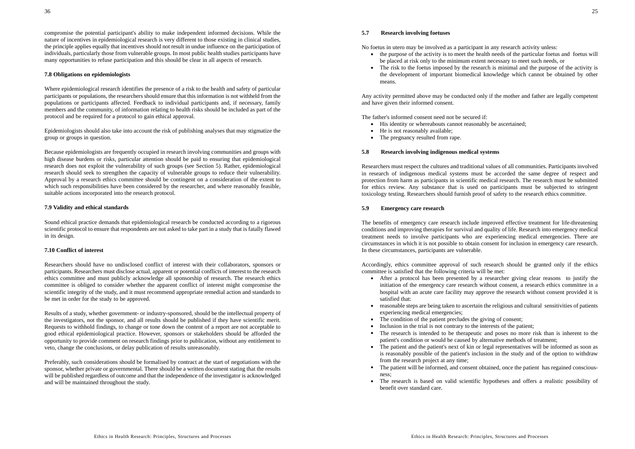compromise the potential participant's ability to make independent informed decisions. While the nature of incentives in epidemiological research is very different to those existing in clinical studies, the principle applies equally that incentives should not result in undue influence on the participation of individuals, particularly those from vulnerable groups. In most public health studies participants have many opportunities to refuse participation and this should be clear in all aspects of research.

#### **7.8 Obligations on epidemiologists**

Where epidemiological research identifies the presence of a risk to the health and safety of particular participants or populations, the researchers should ensure that this information is not withheld from the populations or participants affected. Feedback to individual participants and, if necessary, family members and the community, of information relating to health risks should be included as part of the protocol and be required for a protocol to gain ethical approval.

Epidemiologists should also take into account the risk of publishing analyses that may stigmatize the group or groups in question.

Because epidemiologists are frequently occupied in research involving communities and groups with high disease burdens or risks, particular attention should be paid to ensuring that epidemiological research does not exploit the vulnerability of such groups (see Section 5). Rather, epidemiological research should seek to strengthen the capacity of vulnerable groups to reduce their vulnerability. Approval by a research ethics committee should be contingent on a consideration of the extent to which such responsibilities have been considered by the researcher, and where reasonably feasible, suitable actions incorporated into the research protocol.

#### **7.9 Validity and ethical standards**

Sound ethical practice demands that epidemiological research be conducted according to a rigorous scientific protocol to ensure that respondents are not asked to take part in a study that is fatally flawed in its design.

#### **7.10 Conflict of interest**

Researchers should have no undisclosed conflict of interest with their collaborators, sponsors or participants. Researchers must disclose actual, apparent or potential conflicts of interest to the research ethics committee and must publicly acknowledge all sponsorship of research. The research ethics committee is obliged to consider whether the apparent conflict of interest might compromise the scientific integrity of the study, and it must recommend appropriate remedial action and standards to be met in order for the study to be approved.

Results of a study, whether government- or industry-sponsored, should be the intellectual property of the investigators, not the sponsor, and all results should be published if they have scientific merit. Requests to withhold findings, to change or tone down the content of a report are not acceptable to good ethical epidemiological practice. However, sponsors or stakeholders should be afforded the opportunity to provide comment on research findings prior to publication, without any entitlement to veto, change the conclusions, or delay publication of results unreasonably.

Preferably, such considerations should be formalised by contract at the start of negotiations with the sponsor, whether private or governmental. There should be a written document stating that the results will be published regardless of outcome and that the independence of the investigator is acknowledged and will be maintained throughout the study.

#### **5.7 Research involving foetuses**

No foetus in utero may be involved as a participant in any research activity unless:

- the purpose of the activity is to meet the health needs of the particular foetus and foetus will be placed at risk only to the minimum extent necessary to meet such needs, or
- The risk to the foetus imposed by the research is minimal and the purpose of the activity is the development of important biomedical knowledge which cannot be obtained by other means.

Any activity permitted above may be conducted only if the mother and father are legally competent and have given their informed consent.

The father's informed consent need not be secured if:

- His identity or whereabouts cannot reasonably be ascertained;
- He is not reasonably available;
- The pregnancy resulted from rape.

#### **5.8 Research involving indigenous medical systems**

Researchers must respect the cultures and traditional values of all communities. Participants involved in research of indigenous medical systems must be accorded the same degree of respect and protection from harm as participants in scientific medical research. The research must be submitted for ethics review. Any substance that is used on participants must be subjected to stringent toxicology testing. Researchers should furnish proof of safety to the research ethics committee.

### **5.9 Emergency care research**

The benefits of emergency care research include improved effective treatment for life-threatening conditions and improving therapies for survival and quality of life. Research into emergency medical treatment needs to involve participants who are experiencing medical emergencies. There are circumstances in which it is not possible to obtain consent for inclusion in emergency care research. In these circumstances, participants are vulnerable.

Accordingly, ethics committee approval of such research should be granted only if the ethics committee is satisfied that the following criteria will be met:

- After a protocol has been presented by a researcher giving clear reasons to justify the initiation of the emergency care research without consent, a research ethics committee in a hospital with an acute care facility may approve the research without consent provided it is satisfied that:
- . reasonable steps are being taken to ascertain the religious and cultural sensitivities of patients experiencing medical emergencies;
- The condition of the patient precludes the giving of consent;
- . Inclusion in the trial is not contrary to the interests of the patient;
- The research is intended to be therapeutic and poses no more risk than is inherent to the patient's condition or would be caused by alternative methods of treatment;
- The patient and the patient's next of kin or legal representatives will be informed as soon as is reasonably possible of the patient's inclusion in the study and of the option to withdraw from the research project at any time;
- The patient will be informed, and consent obtained, once the patient has regained consciousness;
- The research is based on valid scientific hypotheses and offers a realistic possibility of benefit over standard care.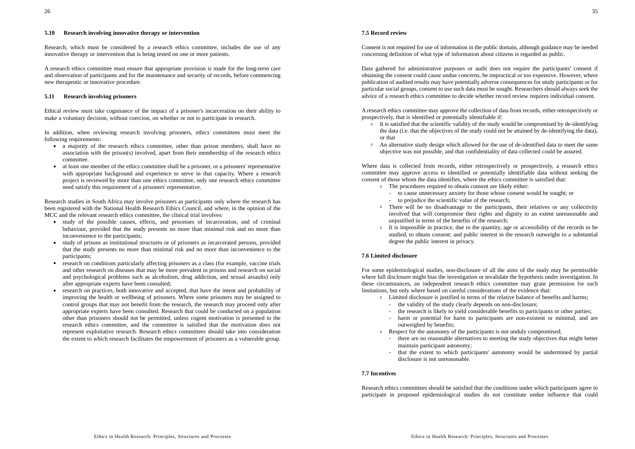#### **5.10 Research involving innovative therapy or intervention**

Research, which must be considered by a research ethics committee, includes the use of any innovative therapy or intervention that is being tested on one or more patients.

A research ethics committee must ensure that appropriate provision is made for the long-term care and observation of participants and for the maintenance and security of records, before commencing new therapeutic or innovative procedure.

### **5.11 Research involving prisoners**

Ethical review must take cognisance of the impact of a prisoner's incarceration on their ability to make a voluntary decision, without coercion, on whether or not to participate in research.

In addition, when reviewing research involving prisoners, ethics committees must meet the following requirements:

- a majority of the research ethics committee, other than prison members, shall have no association with the prison(s) involved, apart from their membership of the research ethics committee.
- $\bullet$  at least one member of the ethics committee shall be a prisoner, or a prisoners' representative with appropriate background and experience to serve in that capacity. Where a research project is reviewed by more than one ethics committee, only one research ethics committee need satisfy this requirement of a prisoners' representative.

Research studies in South Africa may involve prisoners as participants only where the research has been registered with the National Health Research Ethics Council, and where, in the opinion of the MCC and the relevant research ethics committee, the clinical trial involves:

- study of the possible causes, effects, and processes of incarceration, and of criminal behaviour, provided that the study presents no more than minimal risk and no more than inconvenience to the participants;
- study of prisons as institutional structures or of prisoners as incarcerated persons, provided that the study presents no more than minimal risk and no more than inconvenience to the participants;
- research on conditions particularly affecting prisoners as a class (for example, vaccine trials and other research on diseases that may be more prevalent in prisons and research on social and psychological problems such as alcoholism, drug addiction, and sexual assaults) only after appropriate experts have been consulted;
- research on practices, both innovative and accepted, that have the intent and probability of improving the health or wellbeing of prisoners. Where some prisoners may be assigned to control groups that may not benefit from the research, the research may proceed only after appropriate experts have been consulted. Research that could be conducted on a population other than prisoners should not be permitted, unless cogent motivation is presented to the research ethics committee, and the committee is satisfied that the motivation does not represent exploitative research. Research ethics committees should take into consideration the extent to which research facilitates the empowerment of prisoners as a vulnerable group.

#### **7.5 Record review**

Consent is not required for use of information in the public domain, although guidance may be needed concerning definition of what type of information about citizens is regarded as public.

Data gathered for administrative purposes or audit does not require the participants' consent if obtaining the consent could cause undue concerns, be impractical or too expensive. However, where publication of audited results may have potentially adverse consequences for study participants or for particular social groups, consent to use such data must be sought. Researchers should always seek the advice of a research ethics committee to decide whether record review requires individual consent.

A research ethics committee may approve the collection of data from records, either retrospectively or prospectively, that is identified or potentially identifiable if:

- l It is satisfied that the scientific validity of the study would be compromised by de-identifying the data (i.e. that the objectives of the study could not be attained by de-identifying the data), or that
- **•** An alternative study design which allowed for the use of de-identified data to meet the same objective was not possible, and that confidentiality of data collected could be assured.

Where data is collected from records, either retrospectively or prospectively, a research ethics committee may approve access to identified or potentially identifiable data without seeking the consent of those whom the data identifies, where the ethics committee is satisfied that:

- **The procedures required to obtain consent are likely either:** 
	- to cause unnecessary anxiety for those whose consent would be sought; or
	- to prejudice the scientific value of the research;
- **I** There will be no disadvantage to the participants, their relatives or any collectivity involved that will compromise their rights and dignity to an extent unreasonable and unjustified in terms of the benefits of the research;
- It is impossible in practice, due to the quantity, age or accessibility of the records to be studied, to obtain consent; and public interest in the research outweighs to a substantial degree the public interest in privacy.

# **7.6 Limited disclosure**

For some epidemiological studies, non-disclosure of all the aims of the study may be permissible where full disclosure might bias the investigation or invalidate the hypothesis under investigation. In these circumstances, an independent research ethics committee may grant permission for such limitations, but only where based on careful considerations of the evidence that:

- **Limited disclosure is justified in terms of the relative balance of benefits and harms;** 
	- the validity of the study clearly depends on non-disclosure;
	- the research is likely to yield considerable benefits to participants or other parties;
	- harm or potential for harm to participants are non-existent or minimal, and are outweighed by benefits;
- **Example 2** Respect for the autonomy of the participants is not unduly compromised;
	- there are no reasonable alternatives to meeting the study objectives that might better maintain participant autonomy;
	- that the extent to which participants' autonomy would be undermined by partial disclosure is not unreasonable.

# **7.7 Incentives**

Research ethics committees should be satisfied that the conditions under which participants agree to participate in proposed epidemiological studies do not constitute undue influence that could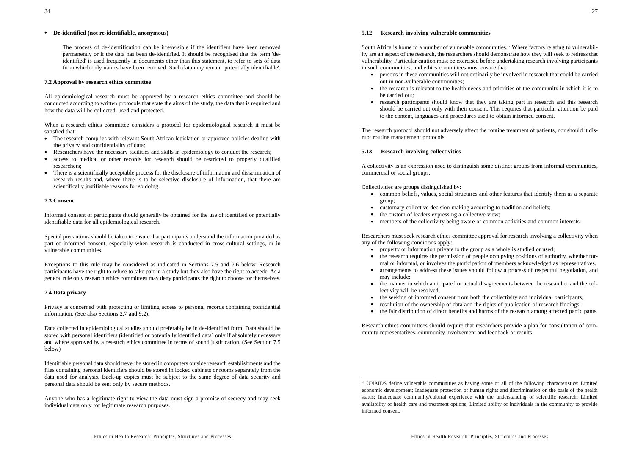#### l **De-identified (not re-identifiable, anonymous)**

The process of de-identification can be irreversible if the identifiers have been removed permanently or if the data has been de-identified. It should be recognised that the term 'deidentified' is used frequently in documents other than this statement, to refer to sets of data from which only names have been removed. Such data may remain 'potentially identifiable'.

#### **7.2 Approval by research ethics committee**

All epidemiological research must be approved by a research ethics committee and should be conducted according to written protocols that state the aims of the study, the data that is required and how the data will be collected, used and protected.

When a research ethics committee considers a protocol for epidemiological research it must be satisfied that:

- The research complies with relevant South African legislation or approved policies dealing with the privacy and confidentiality of data;
- Researchers have the necessary facilities and skills in epidemiology to conduct the research;
- $\bullet$  access to medical or other records for research should be restricted to properly qualified researchers;
- There is a scientifically acceptable process for the disclosure of information and dissemination of research results and, where there is to be selective disclosure of information, that there are scientifically justifiable reasons for so doing.

#### **7.3 Consent**

Informed consent of participants should generally be obtained for the use of identified or potentially identifiable data for all epidemiological research.

Special precautions should be taken to ensure that participants understand the information provided as part of informed consent, especially when research is conducted in cross-cultural settings, or in vulnerable communities.

Exceptions to this rule may be considered as indicated in Sections 7.5 and 7.6 below. Research participants have the right to refuse to take part in a study but they also have the right to accede. As a general rule only research ethics committees may deny participants the right to choose for themselves.

#### **7.4 Data privacy**

Privacy is concerned with protecting or limiting access to personal records containing confidential information. (See also Sections 2.7 and 9.2).

Data collected in epidemiological studies should preferably be in de-identified form. Data should be stored with personal identifiers (identified or potentially identified data) only if absolutely necessary and where approved by a research ethics committee in terms of sound justification. (See Section 7.5 below)

Identifiable personal data should never be stored in computers outside research establishments and the files containing personal identifiers should be stored in locked cabinets or rooms separately from the data used for analysis. Back-up copies must be subject to the same degree of data security and personal data should be sent only by secure methods.

Anyone who has a legitimate right to view the data must sign a promise of secrecy and may seek individual data only for legitimate research purposes.

#### **5.12 Research involving vulnerable communities**

South Africa is home to a number of vulnerable communities.<sup>12</sup> Where factors relating to vulnerability are an aspect of the research, the researchers should demonstrate how they will seek to redress that vulnerability. Particular caution must be exercised before undertaking research involving participants in such communities, and ethics committees must ensure that:

- persons in these communities will not ordinarily be involved in research that could be carried out in non-vulnerable communities;
- the research is relevant to the health needs and priorities of the community in which it is to be carried out;
- $\bullet$  research participants should know that they are taking part in research and this research should be carried out only with their consent. This requires that particular attention be paid to the content, languages and procedures used to obtain informed consent.

The research protocol should not adversely affect the routine treatment of patients, nor should it disrupt routine management protocols.

#### **5.13 Research involving collectivities**

A collectivity is an expression used to distinguish some distinct groups from informal communities, commercial or social groups.

Collectivities are groups distinguished by:

- common beliefs, values, social structures and other features that identify them as a separate group;
- customary collective decision-making according to tradition and beliefs;
- the custom of leaders expressing a collective view;
- ۰ members of the collectivity being aware of common activities and common interests.

Researchers must seek research ethics committee approval for research involving a collectivity when any of the following conditions apply:

- property or information private to the group as a whole is studied or used;
- the research requires the permission of people occupying positions of authority, whether formal or informal, or involves the participation of members acknowledged as representatives.
- ۰ arrangements to address these issues should follow a process of respectful negotiation, and may include:
- the manner in which anticipated or actual disagreements between the researcher and the collectivity will be resolved;
- the seeking of informed consent from both the collectivity and individual participants;
- resolution of the ownership of data and the rights of publication of research findings;
- . the fair distribution of direct benefits and harms of the research among affected participants.

Research ethics committees should require that researchers provide a plan for consultation of community representatives, community involvement and feedback of results.

<sup>&</sup>lt;sup>12</sup> UNAIDS define vulnerable communities as having some or all of the following characteristics: Limited economic development; Inadequate protection of human rights and discrimination on the basis of the health status; Inadequate community/cultural experience with the understanding of scientific research; Limited availability of health care and treatment options; Limited ability of individuals in the community to provide informed consent.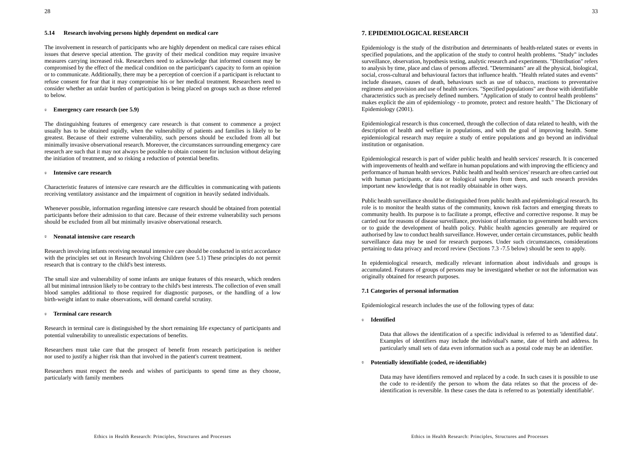#### **5.14 Research involving persons highly dependent on medical care**

The involvement in research of participants who are highly dependent on medical care raises ethical issues that deserve special attention. The gravity of their medical condition may require invasive measures carrying increased risk. Researchers need to acknowledge that informed consent may be compromised by the effect of the medical condition on the participant's capacity to form an opinion or to communicate. Additionally, there may be a perception of coercion if a participant is reluctant to refuse consent for fear that it may compromise his or her medical treatment. Researchers need to consider whether an unfair burden of participation is being placed on groups such as those referred to below.

#### **Emergency care research (see 5.9)**

The distinguishing features of emergency care research is that consent to commence a project usually has to be obtained rapidly, when the vulnerability of patients and families is likely to be greatest. Because of their extreme vulnerability, such persons should be excluded from all but minimally invasive observational research. Moreover, the circumstances surrounding emergency care research are such that it may not always be possible to obtain consent for inclusion without delaying the initiation of treatment, and so risking a reduction of potential benefits.

#### l **Intensive care research**

Characteristic features of intensive care research are the difficulties in communicating with patients receiving ventilatory assistance and the impairment of cognition in heavily sedated individuals.

Whenever possible, information regarding intensive care research should be obtained from potential participants before their admission to that care. Because of their extreme vulnerability such persons should be excluded from all but minimally invasive observational research.

#### l **Neonatal intensive care research**

Research involving infants receiving neonatal intensive care should be conducted in strict accordance with the principles set out in Research Involving Children (see 5.1) These principles do not permit research that is contrary to the child's best interests.

The small size and vulnerability of some infants are unique features of this research, which renders all but minimal intrusion likely to be contrary to the child's best interests. The collection of even small blood samples additional to those required for diagnostic purposes, or the handling of a low birth-weight infant to make observations, will demand careful scrutiny.

#### l **Terminal care research**

Research in terminal care is distinguished by the short remaining life expectancy of participants and potential vulnerability to unrealistic expectations of benefits.

Researchers must take care that the prospect of benefit from research participation is neither nor used to justify a higher risk than that involved in the patient's current treatment.

Researchers must respect the needs and wishes of participants to spend time as they choose, particularly with family members

Epidemiology is the study of the distribution and determinants of health-related states or events in specified populations, and the application of the study to control health problems. "Study" includes surveillance, observation, hypothesis testing, analytic research and experiments. "Distribution" refers to analysis by time, place and class of persons affected. "Determinants" are all the physical, biological, social, cross-cultural and behavioural factors that influence health. "Health related states and events" include diseases, causes of death, behaviours such as use of tobacco, reactions to preventative regimens and provision and use of health services. "Specified populations" are those with identifiable characteristics such as precisely defined numbers. "Application of study to control health problems" makes explicit the aim of epidemiology - to promote, protect and restore health." The Dictionary of Epidemiology (2001).

Epidemiological research is thus concerned, through the collection of data related to health, with the description of health and welfare in populations, and with the goal of improving health. Some epidemiological research may require a study of entire populations and go beyond an individual institution or organisation.

Epidemiological research is part of wider public health and health services' research. It is concerned with improvements of health and welfare in human populations and with improving the efficiency and performance of human health services. Public health and health services' research are often carried out with human participants, or data or biological samples from them, and such research provides important new knowledge that is not readily obtainable in other ways.

Public health surveillance should be distinguished from public health and epidemiological research. Its role is to monitor the health status of the community, known risk factors and emerging threats to community health. Its purpose is to facilitate a prompt, effective and corrective response. It may be carried out for reasons of disease surveillance, provision of information to government health services or to guide the development of health policy. Public health agencies generally are required or authorised by law to conduct health surveillance. However, under certain circumstances, public health surveillance data may be used for research purposes. Under such circumstances, considerations pertaining to data privacy and record review (Sections 7.3 -7.5 below) should be seen to apply.

In epidemiological research, medically relevant information about individuals and groups is accumulated. Features of groups of persons may be investigated whether or not the information was originally obtained for research purposes.

#### **7.1 Categories of personal information**

Epidemiological research includes the use of the following types of data:

l **Identified**

Data that allows the identification of a specific individual is referred to as 'identified data'. Examples of identifiers may include the individual's name, date of birth and address. In particularly small sets of data even information such as a postal code may be an identifier.

l **Potentially identifiable (coded, re-identifiable)**

Data may have identifiers removed and replaced by a code. In such cases it is possible to use the code to re-identify the person to whom the data relates so that the process of deidentification is reversible. In these cases the data is referred to as 'potentially identifiable'.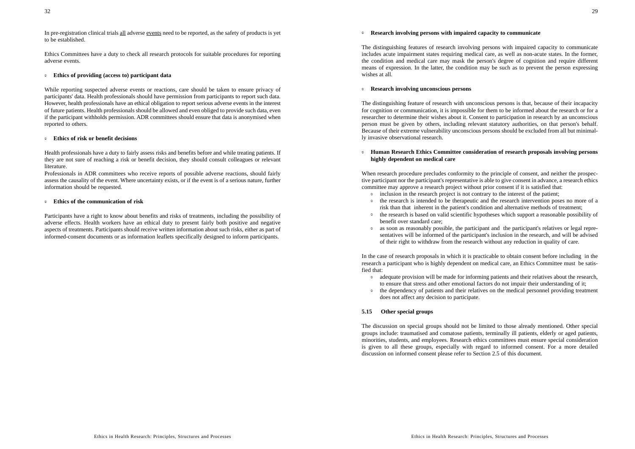In pre-registration clinical trials all adverse events need to be reported, as the safety of products is yet to be established.

Ethics Committees have a duty to check all research protocols for suitable procedures for reporting adverse events.

#### *C* Ethics of providing (access to) participant data

While reporting suspected adverse events or reactions, care should be taken to ensure privacy of participants' data. Health professionals should have permission from participants to report such data. However, health professionals have an ethical obligation to report serious adverse events in the interest of future patients. Health professionals should be allowed and even obliged to provide such data, even if the participant withholds permission. ADR committees should ensure that data is anonymised when reported to others.

#### l **Ethics of risk or benefit decisions**

Health professionals have a duty to fairly assess risks and benefits before and while treating patients. If they are not sure of reaching a risk or benefit decision, they should consult colleagues or relevant literature.

Professionals in ADR committees who receive reports of possible adverse reactions, should fairly assess the causality of the event. Where uncertainty exists, or if the event is of a serious nature, further information should be requested.

#### l **Ethics of the communication of risk**

Participants have a right to know about benefits and risks of treatments, including the possibility of adverse effects. Health workers have an ethical duty to present fairly both positive and negative aspects of treatments. Participants should receive written information about such risks, either as part of informed-consent documents or as information leaflets specifically designed to inform participants.

#### **Research involving persons with impaired capacity to communicate**

The distinguishing features of research involving persons with impaired capacity to communicate includes acute impairment states requiring medical care, as well as non-acute states. In the former, the condition and medical care may mask the person's degree of cognition and require different means of expression. In the latter, the condition may be such as to prevent the person expressing wishes at all.

#### l **Research involving unconscious persons**

The distinguishing feature of research with unconscious persons is that, because of their incapacity for cognition or communication, it is impossible for them to be informed about the research or for a researcher to determine their wishes about it. Consent to participation in research by an unconscious person must be given by others, including relevant statutory authorities, on that person's behalf. Because of their extreme vulnerability unconscious persons should be excluded from all but minimally invasive observational research.

#### **<b>Example 3 Human Research Ethics Committee consideration of research proposals involving persons highly dependent on medical care**

When research procedure precludes conformity to the principle of consent, and neither the prospective participant nor the participant's representative is able to give consent in advance, a research ethics committee may approve a research project without prior consent if it is satisfied that:

- *Inclusion in the research project is not contrary to the interest of the patient;*
- $\circ$  the research is intended to be therapeutic and the research intervention poses no more of a risk than that inherent in the patient's condition and alternative methods of treatment;
- **the research is based on valid scientific hypotheses which support a reasonable possibility of** benefit over standard care;
- **2** as soon as reasonably possible, the participant and the participant's relatives or legal representatives will be informed of the participant's inclusion in the research, and will be advised of their right to withdraw from the research without any reduction in quality of care.

In the case of research proposals in which it is practicable to obtain consent before including in the research a participant who is highly dependent on medical care, an Ethics Committee must be satisfied that:

- **•** adequate provision will be made for informing patients and their relatives about the research, to ensure that stress and other emotional factors do not impair their understanding of it;
- <sup> $\circ$ </sup> the dependency of patients and their relatives on the medical personnel providing treatment does not affect any decision to participate.

### **5.15 Other special groups**

The discussion on special groups should not be limited to those already mentioned. Other special groups include: traumatised and comatose patients, terminally ill patients, elderly or aged patients, minorities, students, and employees. Research ethics committees must ensure special consideration is given to all these groups, especially with regard to informed consent. For a more detailed discussion on informed consent please refer to Section 2.5 of this document.